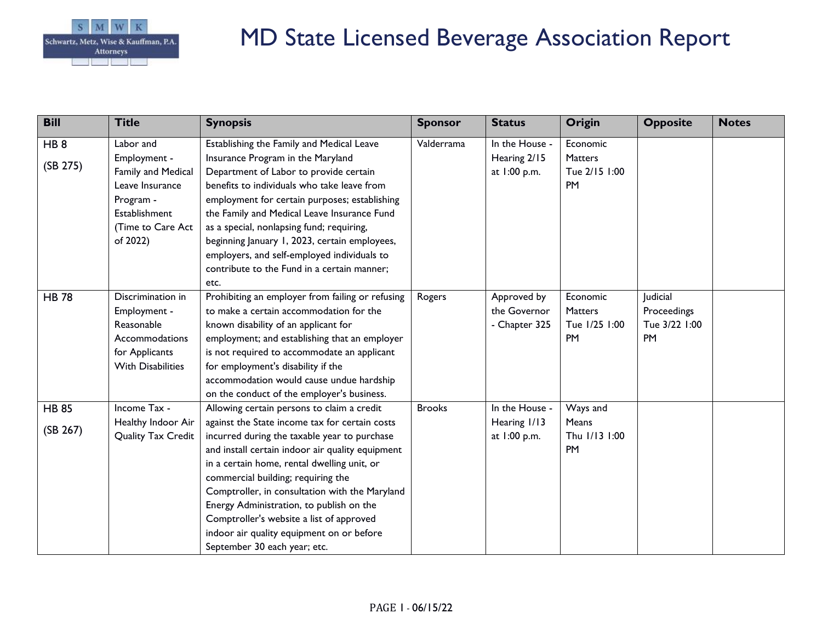

| <b>Bill</b>     | <b>Title</b>             | <b>Synopsis</b>                                  | <b>Sponsor</b> | <b>Status</b>  | <b>Origin</b>  | <b>Opposite</b> | <b>Notes</b> |
|-----------------|--------------------------|--------------------------------------------------|----------------|----------------|----------------|-----------------|--------------|
| HB <sub>8</sub> | Labor and                | Establishing the Family and Medical Leave        | Valderrama     | In the House - | Economic       |                 |              |
|                 | Employment -             | Insurance Program in the Maryland                |                | Hearing 2/15   | <b>Matters</b> |                 |              |
| (SB 275)        | Family and Medical       | Department of Labor to provide certain           |                | at 1:00 p.m.   | Tue 2/15 1:00  |                 |              |
|                 | Leave Insurance          | benefits to individuals who take leave from      |                |                | PM             |                 |              |
|                 | Program -                | employment for certain purposes; establishing    |                |                |                |                 |              |
|                 | Establishment            | the Family and Medical Leave Insurance Fund      |                |                |                |                 |              |
|                 | (Time to Care Act        | as a special, nonlapsing fund; requiring,        |                |                |                |                 |              |
|                 | of 2022)                 | beginning January 1, 2023, certain employees,    |                |                |                |                 |              |
|                 |                          | employers, and self-employed individuals to      |                |                |                |                 |              |
|                 |                          | contribute to the Fund in a certain manner;      |                |                |                |                 |              |
|                 |                          | etc.                                             |                |                |                |                 |              |
| <b>HB 78</b>    | Discrimination in        | Prohibiting an employer from failing or refusing | Rogers         | Approved by    | Economic       | Judicial        |              |
|                 | Employment -             | to make a certain accommodation for the          |                | the Governor   | <b>Matters</b> | Proceedings     |              |
|                 | Reasonable               | known disability of an applicant for             |                | - Chapter 325  | Tue 1/25 1:00  | Tue 3/22 1:00   |              |
|                 | Accommodations           | employment; and establishing that an employer    |                |                | <b>PM</b>      | <b>PM</b>       |              |
|                 | for Applicants           | is not required to accommodate an applicant      |                |                |                |                 |              |
|                 | <b>With Disabilities</b> | for employment's disability if the               |                |                |                |                 |              |
|                 |                          | accommodation would cause undue hardship         |                |                |                |                 |              |
|                 |                          | on the conduct of the employer's business.       |                |                |                |                 |              |
| <b>HB 85</b>    | Income Tax -             | Allowing certain persons to claim a credit       | <b>Brooks</b>  | In the House - | Ways and       |                 |              |
|                 | Healthy Indoor Air       | against the State income tax for certain costs   |                | Hearing 1/13   | Means          |                 |              |
| (SB 267)        | Quality Tax Credit       | incurred during the taxable year to purchase     |                | at 1:00 p.m.   | Thu 1/13 1:00  |                 |              |
|                 |                          | and install certain indoor air quality equipment |                |                | <b>PM</b>      |                 |              |
|                 |                          | in a certain home, rental dwelling unit, or      |                |                |                |                 |              |
|                 |                          | commercial building; requiring the               |                |                |                |                 |              |
|                 |                          | Comptroller, in consultation with the Maryland   |                |                |                |                 |              |
|                 |                          | Energy Administration, to publish on the         |                |                |                |                 |              |
|                 |                          | Comptroller's website a list of approved         |                |                |                |                 |              |
|                 |                          | indoor air quality equipment on or before        |                |                |                |                 |              |
|                 |                          | September 30 each year; etc.                     |                |                |                |                 |              |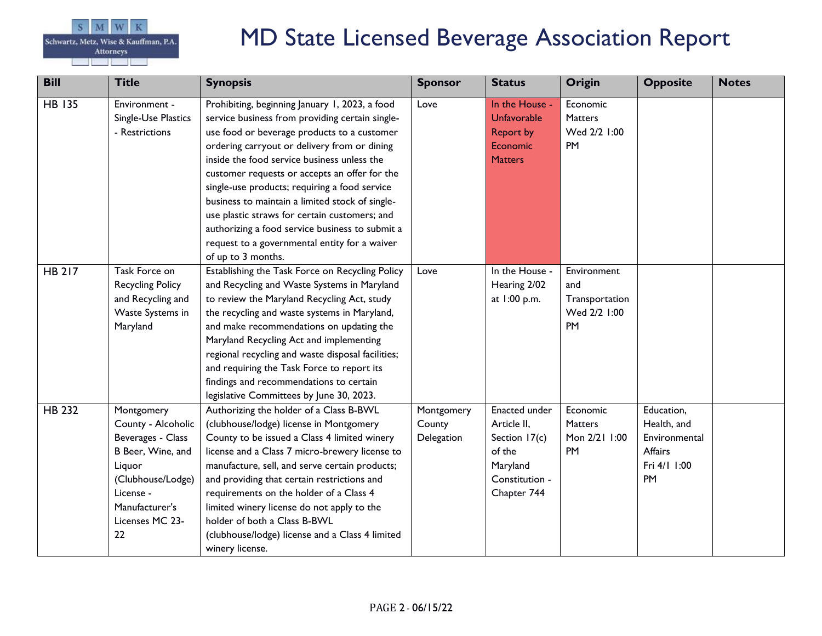

| <b>Bill</b>   | <b>Title</b>                                                                                                                                                      | <b>Synopsis</b>                                                                                                                                                                                                                                                                                                                                                                                                                                                                                                                                                                 | <b>Sponsor</b>                     | <b>Status</b>                                                                                        | Origin                                                     | <b>Opposite</b>                                                                    | <b>Notes</b> |
|---------------|-------------------------------------------------------------------------------------------------------------------------------------------------------------------|---------------------------------------------------------------------------------------------------------------------------------------------------------------------------------------------------------------------------------------------------------------------------------------------------------------------------------------------------------------------------------------------------------------------------------------------------------------------------------------------------------------------------------------------------------------------------------|------------------------------------|------------------------------------------------------------------------------------------------------|------------------------------------------------------------|------------------------------------------------------------------------------------|--------------|
| <b>HB 135</b> | Environment -<br>Single-Use Plastics<br>- Restrictions                                                                                                            | Prohibiting, beginning January 1, 2023, a food<br>service business from providing certain single-<br>use food or beverage products to a customer<br>ordering carryout or delivery from or dining<br>inside the food service business unless the<br>customer requests or accepts an offer for the<br>single-use products; requiring a food service<br>business to maintain a limited stock of single-<br>use plastic straws for certain customers; and<br>authorizing a food service business to submit a<br>request to a governmental entity for a waiver<br>of up to 3 months. | Love                               | In the House -<br><b>Unfavorable</b><br><b>Report by</b><br>Economic<br><b>Matters</b>               | Economic<br><b>Matters</b><br>Wed 2/2 1:00<br>PM           |                                                                                    |              |
| <b>HB 217</b> | Task Force on<br><b>Recycling Policy</b><br>and Recycling and<br>Waste Systems in<br>Maryland                                                                     | Establishing the Task Force on Recycling Policy<br>and Recycling and Waste Systems in Maryland<br>to review the Maryland Recycling Act, study<br>the recycling and waste systems in Maryland,<br>and make recommendations on updating the<br>Maryland Recycling Act and implementing<br>regional recycling and waste disposal facilities;<br>and requiring the Task Force to report its<br>findings and recommendations to certain<br>legislative Committees by June 30, 2023.                                                                                                  | Love                               | In the House -<br>Hearing 2/02<br>at 1:00 p.m.                                                       | Environment<br>and<br>Transportation<br>Wed 2/2 1:00<br>PM |                                                                                    |              |
| <b>HB 232</b> | Montgomery<br>County - Alcoholic<br>Beverages - Class<br>B Beer, Wine, and<br>Liquor<br>(Clubhouse/Lodge)<br>License -<br>Manufacturer's<br>Licenses MC 23-<br>22 | Authorizing the holder of a Class B-BWL<br>(clubhouse/lodge) license in Montgomery<br>County to be issued a Class 4 limited winery<br>license and a Class 7 micro-brewery license to<br>manufacture, sell, and serve certain products;<br>and providing that certain restrictions and<br>requirements on the holder of a Class 4<br>limited winery license do not apply to the<br>holder of both a Class B-BWL<br>(clubhouse/lodge) license and a Class 4 limited<br>winery license.                                                                                            | Montgomery<br>County<br>Delegation | Enacted under<br>Article II,<br>Section 17(c)<br>of the<br>Maryland<br>Constitution -<br>Chapter 744 | Economic<br><b>Matters</b><br>Mon 2/21 1:00<br><b>PM</b>   | Education,<br>Health, and<br>Environmental<br>Affairs<br>Fri 4/1 1:00<br><b>PM</b> |              |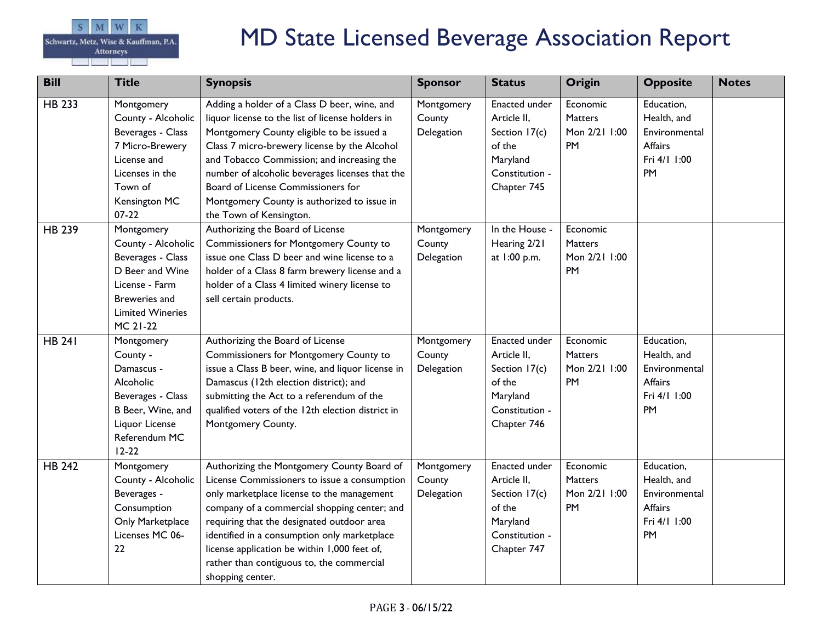

| <b>Bill</b>   | <b>Title</b>                                                                                                                                       | <b>Synopsis</b>                                                                                                                                                                                                                                                                                                                                                                                                | <b>Sponsor</b>                     | <b>Status</b>                                                                                        | Origin                                                   | <b>Opposite</b>                                                                           | <b>Notes</b> |
|---------------|----------------------------------------------------------------------------------------------------------------------------------------------------|----------------------------------------------------------------------------------------------------------------------------------------------------------------------------------------------------------------------------------------------------------------------------------------------------------------------------------------------------------------------------------------------------------------|------------------------------------|------------------------------------------------------------------------------------------------------|----------------------------------------------------------|-------------------------------------------------------------------------------------------|--------------|
| <b>HB 233</b> | Montgomery<br>County - Alcoholic<br>Beverages - Class<br>7 Micro-Brewery<br>License and<br>Licenses in the<br>Town of<br>Kensington MC<br>$07-22$  | Adding a holder of a Class D beer, wine, and<br>liquor license to the list of license holders in<br>Montgomery County eligible to be issued a<br>Class 7 micro-brewery license by the Alcohol<br>and Tobacco Commission; and increasing the<br>number of alcoholic beverages licenses that the<br>Board of License Commissioners for<br>Montgomery County is authorized to issue in<br>the Town of Kensington. | Montgomery<br>County<br>Delegation | Enacted under<br>Article II,<br>Section 17(c)<br>of the<br>Maryland<br>Constitution -<br>Chapter 745 | Economic<br><b>Matters</b><br>Mon 2/21 1:00<br><b>PM</b> | Education,<br>Health, and<br>Environmental<br><b>Affairs</b><br>Fri 4/1 1:00<br><b>PM</b> |              |
| HB 239        | Montgomery<br>County - Alcoholic<br>Beverages - Class<br>D Beer and Wine<br>License - Farm<br>Breweries and<br><b>Limited Wineries</b><br>MC 21-22 | Authorizing the Board of License<br><b>Commissioners for Montgomery County to</b><br>issue one Class D beer and wine license to a<br>holder of a Class 8 farm brewery license and a<br>holder of a Class 4 limited winery license to<br>sell certain products.                                                                                                                                                 | Montgomery<br>County<br>Delegation | In the House -<br>Hearing 2/21<br>at 1:00 p.m.                                                       | Economic<br>Matters<br>Mon 2/21 1:00<br><b>PM</b>        |                                                                                           |              |
| <b>HB 241</b> | Montgomery<br>County -<br>Damascus -<br>Alcoholic<br>Beverages - Class<br>B Beer, Wine, and<br>Liquor License<br>Referendum MC<br>$12 - 22$        | Authorizing the Board of License<br><b>Commissioners for Montgomery County to</b><br>issue a Class B beer, wine, and liquor license in<br>Damascus (12th election district); and<br>submitting the Act to a referendum of the<br>qualified voters of the 12th election district in<br>Montgomery County.                                                                                                       | Montgomery<br>County<br>Delegation | Enacted under<br>Article II,<br>Section 17(c)<br>of the<br>Maryland<br>Constitution -<br>Chapter 746 | Economic<br><b>Matters</b><br>Mon 2/21 1:00<br>PM        | Education,<br>Health, and<br>Environmental<br>Affairs<br>Fri 4/1 1:00<br>PM               |              |
| <b>HB 242</b> | Montgomery<br>County - Alcoholic<br>Beverages -<br>Consumption<br>Only Marketplace<br>Licenses MC 06-<br>22                                        | Authorizing the Montgomery County Board of<br>License Commissioners to issue a consumption<br>only marketplace license to the management<br>company of a commercial shopping center; and<br>requiring that the designated outdoor area<br>identified in a consumption only marketplace<br>license application be within 1,000 feet of,<br>rather than contiguous to, the commercial<br>shopping center.        | Montgomery<br>County<br>Delegation | Enacted under<br>Article II,<br>Section 17(c)<br>of the<br>Maryland<br>Constitution -<br>Chapter 747 | Economic<br><b>Matters</b><br>Mon 2/21 1:00<br>PM        | Education,<br>Health, and<br>Environmental<br><b>Affairs</b><br>Fri 4/1 1:00<br>PM        |              |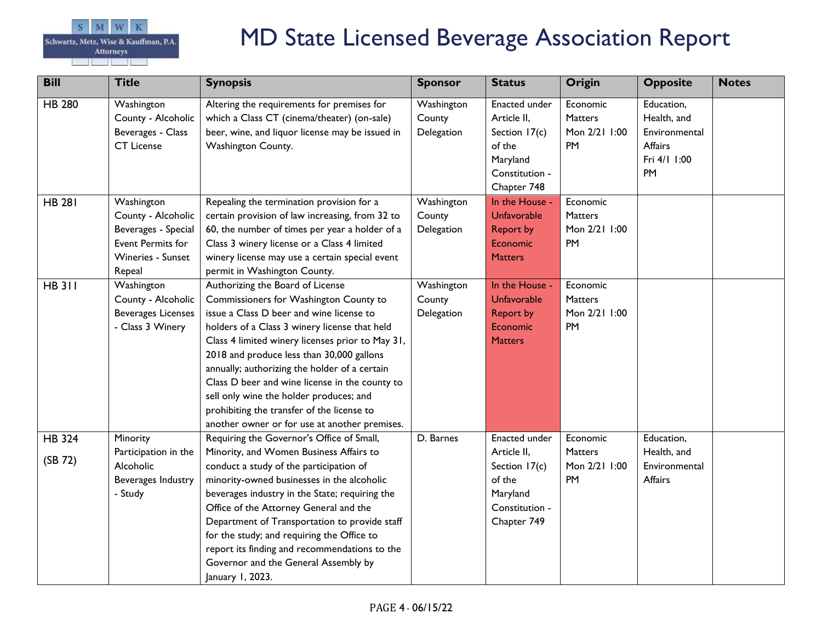

| <b>Bill</b>              | <b>Title</b>                                                                                                | <b>Synopsis</b>                                                                                                                                                                                                                                                                                                                                                                                                                                                                                                       | <b>Sponsor</b>                     | <b>Status</b>                                                                                        | <b>Origin</b>                                     | <b>Opposite</b>                                                                    | <b>Notes</b> |
|--------------------------|-------------------------------------------------------------------------------------------------------------|-----------------------------------------------------------------------------------------------------------------------------------------------------------------------------------------------------------------------------------------------------------------------------------------------------------------------------------------------------------------------------------------------------------------------------------------------------------------------------------------------------------------------|------------------------------------|------------------------------------------------------------------------------------------------------|---------------------------------------------------|------------------------------------------------------------------------------------|--------------|
| <b>HB 280</b>            | Washington<br>County - Alcoholic<br>Beverages - Class<br><b>CT License</b>                                  | Altering the requirements for premises for<br>which a Class CT (cinema/theater) (on-sale)<br>beer, wine, and liquor license may be issued in<br>Washington County.                                                                                                                                                                                                                                                                                                                                                    | Washington<br>County<br>Delegation | Enacted under<br>Article II,<br>Section 17(c)<br>of the<br>Maryland<br>Constitution -<br>Chapter 748 | Economic<br><b>Matters</b><br>Mon 2/21 1:00<br>PM | Education,<br>Health, and<br>Environmental<br><b>Affairs</b><br>Fri 4/1 1:00<br>PM |              |
| <b>HB 281</b>            | Washington<br>County - Alcoholic<br>Beverages - Special<br>Event Permits for<br>Wineries - Sunset<br>Repeal | Repealing the termination provision for a<br>certain provision of law increasing, from 32 to<br>60, the number of times per year a holder of a<br>Class 3 winery license or a Class 4 limited<br>winery license may use a certain special event<br>permit in Washington County.                                                                                                                                                                                                                                       | Washington<br>County<br>Delegation | In the House -<br><b>Unfavorable</b><br><b>Report by</b><br>Economic<br><b>Matters</b>               | Economic<br><b>Matters</b><br>Mon 2/21 1:00<br>PM |                                                                                    |              |
| <b>HB 311</b>            | Washington<br>County - Alcoholic<br><b>Beverages Licenses</b><br>- Class 3 Winery                           | Authorizing the Board of License<br>Commissioners for Washington County to<br>issue a Class D beer and wine license to<br>holders of a Class 3 winery license that held<br>Class 4 limited winery licenses prior to May 31,<br>2018 and produce less than 30,000 gallons<br>annually; authorizing the holder of a certain<br>Class D beer and wine license in the county to<br>sell only wine the holder produces; and<br>prohibiting the transfer of the license to<br>another owner or for use at another premises. | Washington<br>County<br>Delegation | In the House -<br><b>Unfavorable</b><br><b>Report by</b><br>Economic<br><b>Matters</b>               | Economic<br><b>Matters</b><br>Mon 2/21 1:00<br>PM |                                                                                    |              |
| <b>HB 324</b><br>(SB 72) | Minority<br>Participation in the<br>Alcoholic<br>Beverages Industry<br>- Study                              | Requiring the Governor's Office of Small,<br>Minority, and Women Business Affairs to<br>conduct a study of the participation of<br>minority-owned businesses in the alcoholic<br>beverages industry in the State; requiring the<br>Office of the Attorney General and the<br>Department of Transportation to provide staff<br>for the study; and requiring the Office to<br>report its finding and recommendations to the<br>Governor and the General Assembly by<br>January 1, 2023.                                 | D. Barnes                          | Enacted under<br>Article II,<br>Section 17(c)<br>of the<br>Maryland<br>Constitution -<br>Chapter 749 | Economic<br>Matters<br>Mon 2/21 1:00<br>PM        | Education,<br>Health, and<br>Environmental<br>Affairs                              |              |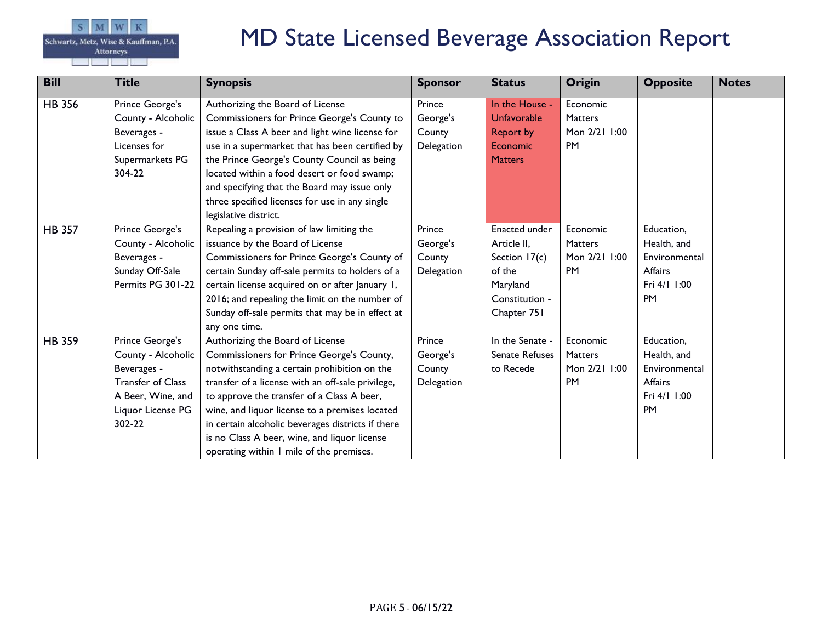

| <b>Bill</b>   | <b>Title</b>                                                                                                                         | <b>Synopsis</b>                                                                                                                                                                                                                                                                                                                                                                                                                     | <b>Sponsor</b>                             | <b>Status</b>                                                                                        | Origin                                                   | <b>Opposite</b>                                                                           | <b>Notes</b> |
|---------------|--------------------------------------------------------------------------------------------------------------------------------------|-------------------------------------------------------------------------------------------------------------------------------------------------------------------------------------------------------------------------------------------------------------------------------------------------------------------------------------------------------------------------------------------------------------------------------------|--------------------------------------------|------------------------------------------------------------------------------------------------------|----------------------------------------------------------|-------------------------------------------------------------------------------------------|--------------|
| <b>HB 356</b> | Prince George's<br>County - Alcoholic<br>Beverages -<br>Licenses for<br>Supermarkets PG<br>304-22                                    | Authorizing the Board of License<br>Commissioners for Prince George's County to<br>issue a Class A beer and light wine license for<br>use in a supermarket that has been certified by<br>the Prince George's County Council as being<br>located within a food desert or food swamp;<br>and specifying that the Board may issue only<br>three specified licenses for use in any single<br>legislative district.                      | Prince<br>George's<br>County<br>Delegation | In the House -<br><b>Unfavorable</b><br><b>Report by</b><br>Economic<br><b>Matters</b>               | Economic<br><b>Matters</b><br>Mon 2/21 1:00<br><b>PM</b> |                                                                                           |              |
| <b>HB 357</b> | Prince George's<br>County - Alcoholic<br>Beverages -<br>Sunday Off-Sale<br>Permits PG 301-22                                         | Repealing a provision of law limiting the<br>issuance by the Board of License<br>Commissioners for Prince George's County of<br>certain Sunday off-sale permits to holders of a<br>certain license acquired on or after January 1,<br>2016; and repealing the limit on the number of<br>Sunday off-sale permits that may be in effect at<br>any one time.                                                                           | Prince<br>George's<br>County<br>Delegation | Enacted under<br>Article II,<br>Section 17(c)<br>of the<br>Maryland<br>Constitution -<br>Chapter 751 | Economic<br><b>Matters</b><br>Mon 2/21 1:00<br><b>PM</b> | Education,<br>Health, and<br>Environmental<br><b>Affairs</b><br>Fri 4/1 1:00<br><b>PM</b> |              |
| <b>HB 359</b> | Prince George's<br>County - Alcoholic<br>Beverages -<br><b>Transfer of Class</b><br>A Beer, Wine, and<br>Liquor License PG<br>302-22 | Authorizing the Board of License<br>Commissioners for Prince George's County,<br>notwithstanding a certain prohibition on the<br>transfer of a license with an off-sale privilege,<br>to approve the transfer of a Class A beer,<br>wine, and liquor license to a premises located<br>in certain alcoholic beverages districts if there<br>is no Class A beer, wine, and liquor license<br>operating within I mile of the premises. | Prince<br>George's<br>County<br>Delegation | In the Senate -<br><b>Senate Refuses</b><br>to Recede                                                | Economic<br><b>Matters</b><br>Mon 2/21 1:00<br><b>PM</b> | Education,<br>Health, and<br>Environmental<br>Affairs<br>Fri 4/1 1:00<br><b>PM</b>        |              |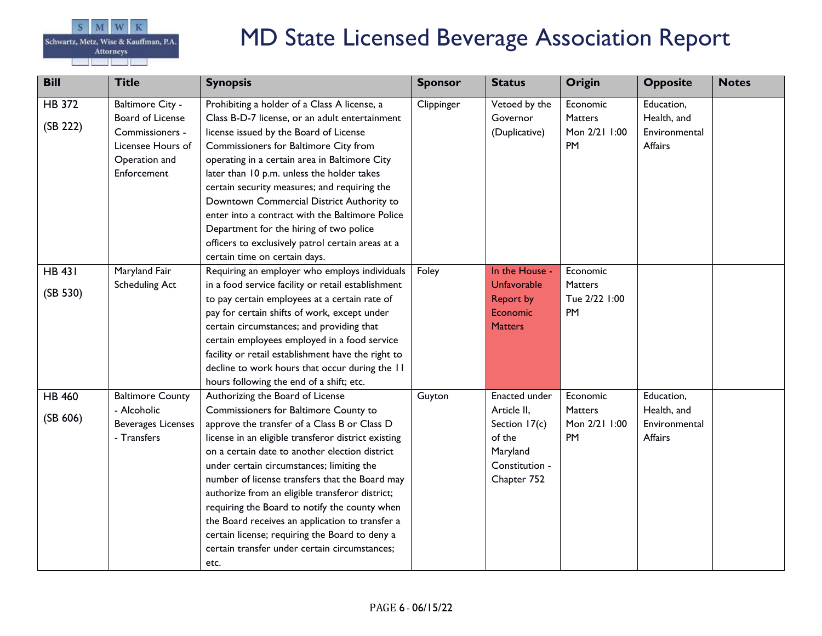

| <b>Bill</b>               | <b>Title</b>                                                                                                        | <b>Synopsis</b>                                                                                                                                                                                                                                                                                                                                                                                                                                                                                                                                                                                     | <b>Sponsor</b> | <b>Status</b>                                                                                        | Origin                                            | <b>Opposite</b>                                       | <b>Notes</b> |
|---------------------------|---------------------------------------------------------------------------------------------------------------------|-----------------------------------------------------------------------------------------------------------------------------------------------------------------------------------------------------------------------------------------------------------------------------------------------------------------------------------------------------------------------------------------------------------------------------------------------------------------------------------------------------------------------------------------------------------------------------------------------------|----------------|------------------------------------------------------------------------------------------------------|---------------------------------------------------|-------------------------------------------------------|--------------|
| <b>HB 372</b><br>(SB 222) | <b>Baltimore City -</b><br>Board of License<br>Commissioners -<br>Licensee Hours of<br>Operation and<br>Enforcement | Prohibiting a holder of a Class A license, a<br>Class B-D-7 license, or an adult entertainment<br>license issued by the Board of License<br>Commissioners for Baltimore City from<br>operating in a certain area in Baltimore City<br>later than 10 p.m. unless the holder takes<br>certain security measures; and requiring the<br>Downtown Commercial District Authority to<br>enter into a contract with the Baltimore Police<br>Department for the hiring of two police<br>officers to exclusively patrol certain areas at a<br>certain time on certain days.                                   | Clippinger     | Vetoed by the<br>Governor<br>(Duplicative)                                                           | Economic<br><b>Matters</b><br>Mon 2/21 1:00<br>PM | Education,<br>Health, and<br>Environmental<br>Affairs |              |
| <b>HB 431</b><br>(SB 530) | Maryland Fair<br><b>Scheduling Act</b>                                                                              | Requiring an employer who employs individuals<br>in a food service facility or retail establishment<br>to pay certain employees at a certain rate of<br>pay for certain shifts of work, except under<br>certain circumstances; and providing that<br>certain employees employed in a food service<br>facility or retail establishment have the right to<br>decline to work hours that occur during the II<br>hours following the end of a shift; etc.                                                                                                                                               | Foley          | In the House -<br><b>Unfavorable</b><br><b>Report by</b><br>Economic<br><b>Matters</b>               | Economic<br>Matters<br>Tue 2/22 1:00<br><b>PM</b> |                                                       |              |
| <b>HB 460</b><br>(SB 606) | <b>Baltimore County</b><br>- Alcoholic<br><b>Beverages Licenses</b><br>- Transfers                                  | Authorizing the Board of License<br>Commissioners for Baltimore County to<br>approve the transfer of a Class B or Class D<br>license in an eligible transferor district existing<br>on a certain date to another election district<br>under certain circumstances; limiting the<br>number of license transfers that the Board may<br>authorize from an eligible transferor district;<br>requiring the Board to notify the county when<br>the Board receives an application to transfer a<br>certain license; requiring the Board to deny a<br>certain transfer under certain circumstances;<br>etc. | Guyton         | Enacted under<br>Article II,<br>Section 17(c)<br>of the<br>Maryland<br>Constitution -<br>Chapter 752 | Economic<br><b>Matters</b><br>Mon 2/21 1:00<br>PM | Education,<br>Health, and<br>Environmental<br>Affairs |              |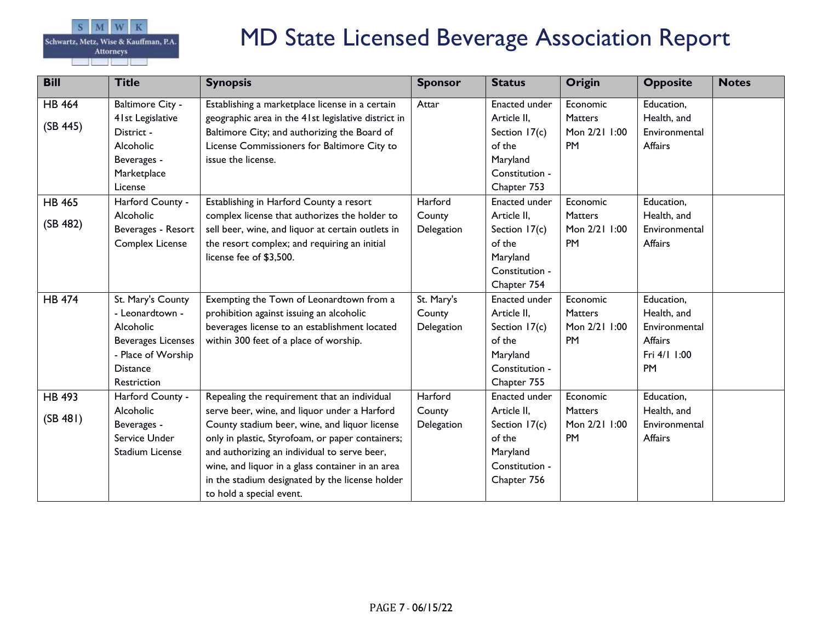

| <b>Bill</b>   | <b>Title</b>              | <b>Synopsis</b>                                     | <b>Sponsor</b> | <b>Status</b>  | <b>Origin</b>  | <b>Opposite</b> | <b>Notes</b> |
|---------------|---------------------------|-----------------------------------------------------|----------------|----------------|----------------|-----------------|--------------|
| <b>HB 464</b> | <b>Baltimore City -</b>   | Establishing a marketplace license in a certain     | Attar          | Enacted under  | Economic       | Education,      |              |
|               | 41st Legislative          | geographic area in the 41st legislative district in |                | Article II,    | <b>Matters</b> | Health, and     |              |
| (SB 445)      | District -                | Baltimore City; and authorizing the Board of        |                | Section 17(c)  | Mon 2/21 1:00  | Environmental   |              |
|               | Alcoholic                 | License Commissioners for Baltimore City to         |                | of the         | <b>PM</b>      | Affairs         |              |
|               | Beverages -               | issue the license.                                  |                | Maryland       |                |                 |              |
|               | Marketplace               |                                                     |                | Constitution - |                |                 |              |
|               | License                   |                                                     |                | Chapter 753    |                |                 |              |
| <b>HB 465</b> | Harford County -          | Establishing in Harford County a resort             | Harford        | Enacted under  | Economic       | Education,      |              |
|               | Alcoholic                 | complex license that authorizes the holder to       | County         | Article II,    | <b>Matters</b> | Health, and     |              |
| (SB 482)      | Beverages - Resort        | sell beer, wine, and liquor at certain outlets in   | Delegation     | Section 17(c)  | Mon 2/21 1:00  | Environmental   |              |
|               | Complex License           | the resort complex; and requiring an initial        |                | of the         | <b>PM</b>      | Affairs         |              |
|               |                           | license fee of \$3,500.                             |                | Maryland       |                |                 |              |
|               |                           |                                                     |                | Constitution - |                |                 |              |
|               |                           |                                                     |                | Chapter 754    |                |                 |              |
| <b>HB 474</b> | St. Mary's County         | Exempting the Town of Leonardtown from a            | St. Mary's     | Enacted under  | Economic       | Education,      |              |
|               | - Leonardtown -           | prohibition against issuing an alcoholic            | County         | Article II,    | <b>Matters</b> | Health, and     |              |
|               | Alcoholic                 | beverages license to an establishment located       | Delegation     | Section 17(c)  | Mon 2/21 1:00  | Environmental   |              |
|               | <b>Beverages Licenses</b> | within 300 feet of a place of worship.              |                | of the         | <b>PM</b>      | Affairs         |              |
|               | - Place of Worship        |                                                     |                | Maryland       |                | Fri 4/1 1:00    |              |
|               | <b>Distance</b>           |                                                     |                | Constitution - |                | <b>PM</b>       |              |
|               | Restriction               |                                                     |                | Chapter 755    |                |                 |              |
| <b>HB 493</b> | Harford County -          | Repealing the requirement that an individual        | Harford        | Enacted under  | Economic       | Education,      |              |
|               | Alcoholic                 | serve beer, wine, and liquor under a Harford        | County         | Article II,    | <b>Matters</b> | Health, and     |              |
| (SB 481)      | Beverages -               | County stadium beer, wine, and liquor license       | Delegation     | Section 17(c)  | Mon 2/21 1:00  | Environmental   |              |
|               | Service Under             | only in plastic, Styrofoam, or paper containers;    |                | of the         | <b>PM</b>      | Affairs         |              |
|               | <b>Stadium License</b>    | and authorizing an individual to serve beer,        |                | Maryland       |                |                 |              |
|               |                           | wine, and liquor in a glass container in an area    |                | Constitution - |                |                 |              |
|               |                           | in the stadium designated by the license holder     |                | Chapter 756    |                |                 |              |
|               |                           | to hold a special event.                            |                |                |                |                 |              |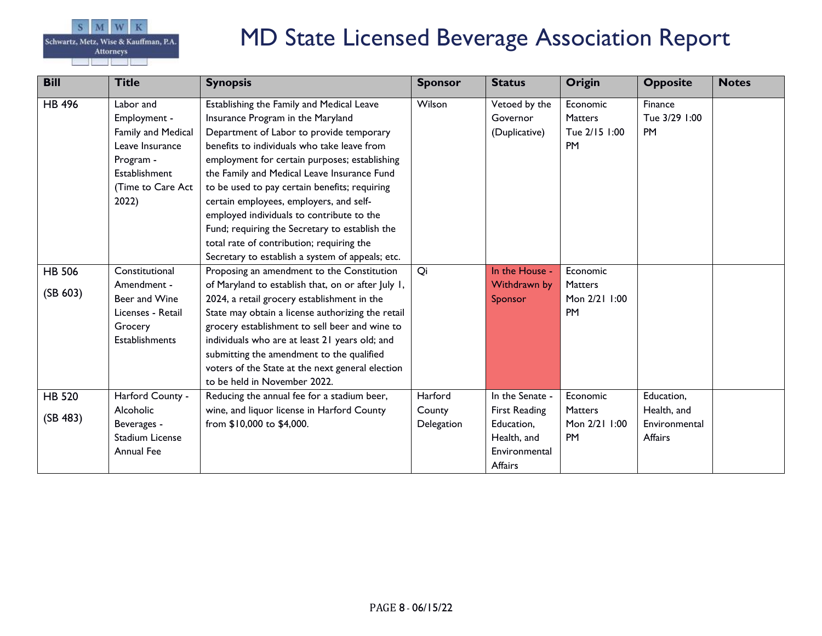

| <b>Bill</b>               | <b>Title</b>                                                                                                                   | <b>Synopsis</b>                                                                                                                                                                                                                                                                                                                                                                                                                                                                                                                                                       | <b>Sponsor</b>                  | <b>Status</b>                                                                                    | <b>Origin</b>                                            | <b>Opposite</b>                                       | <b>Notes</b> |
|---------------------------|--------------------------------------------------------------------------------------------------------------------------------|-----------------------------------------------------------------------------------------------------------------------------------------------------------------------------------------------------------------------------------------------------------------------------------------------------------------------------------------------------------------------------------------------------------------------------------------------------------------------------------------------------------------------------------------------------------------------|---------------------------------|--------------------------------------------------------------------------------------------------|----------------------------------------------------------|-------------------------------------------------------|--------------|
| <b>HB 496</b>             | Labor and<br>Employment -<br>Family and Medical<br>Leave Insurance<br>Program -<br>Establishment<br>(Time to Care Act<br>2022) | Establishing the Family and Medical Leave<br>Insurance Program in the Maryland<br>Department of Labor to provide temporary<br>benefits to individuals who take leave from<br>employment for certain purposes; establishing<br>the Family and Medical Leave Insurance Fund<br>to be used to pay certain benefits; requiring<br>certain employees, employers, and self-<br>employed individuals to contribute to the<br>Fund; requiring the Secretary to establish the<br>total rate of contribution; requiring the<br>Secretary to establish a system of appeals; etc. | Wilson                          | Vetoed by the<br>Governor<br>(Duplicative)                                                       | Economic<br>Matters<br>Tue 2/15 1:00<br><b>PM</b>        | Finance<br>Tue 3/29 1:00<br><b>PM</b>                 |              |
| <b>HB 506</b>             | Constitutional                                                                                                                 | Proposing an amendment to the Constitution                                                                                                                                                                                                                                                                                                                                                                                                                                                                                                                            | Qi                              | In the House -                                                                                   | Economic                                                 |                                                       |              |
| (SB 603)                  | Amendment -<br>Beer and Wine<br>Licenses - Retail<br>Grocery<br><b>Establishments</b>                                          | of Maryland to establish that, on or after July 1,<br>2024, a retail grocery establishment in the<br>State may obtain a license authorizing the retail<br>grocery establishment to sell beer and wine to<br>individuals who are at least 21 years old; and<br>submitting the amendment to the qualified<br>voters of the State at the next general election<br>to be held in November 2022.                                                                                                                                                                           |                                 | Withdrawn by<br>Sponsor                                                                          | <b>Matters</b><br>Mon 2/21 1:00<br><b>PM</b>             |                                                       |              |
| <b>HB 520</b><br>(SB 483) | Harford County -<br>Alcoholic<br>Beverages -<br>Stadium License<br><b>Annual Fee</b>                                           | Reducing the annual fee for a stadium beer,<br>wine, and liquor license in Harford County<br>from \$10,000 to \$4,000.                                                                                                                                                                                                                                                                                                                                                                                                                                                | Harford<br>County<br>Delegation | In the Senate -<br><b>First Reading</b><br>Education,<br>Health, and<br>Environmental<br>Affairs | Economic<br><b>Matters</b><br>Mon 2/21 1:00<br><b>PM</b> | Education,<br>Health, and<br>Environmental<br>Affairs |              |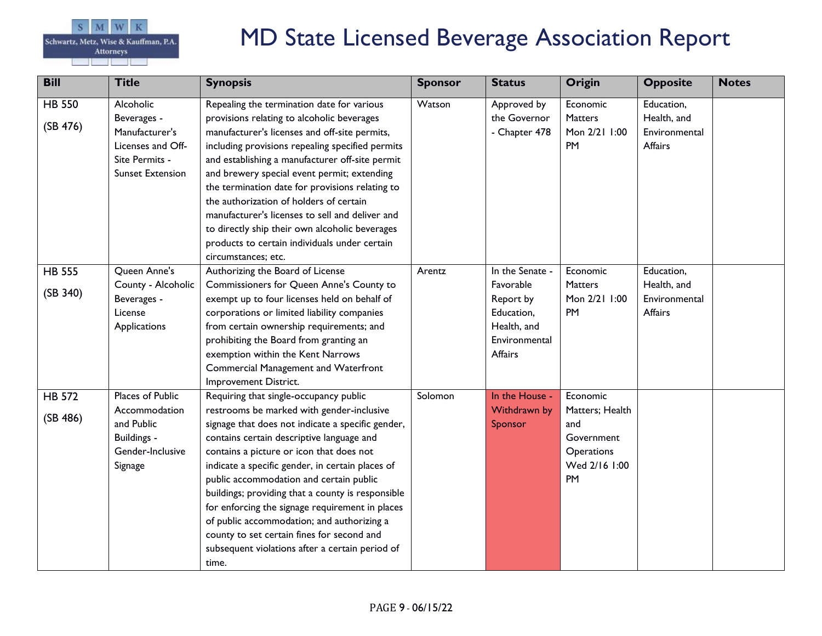

| <b>Bill</b>               | <b>Title</b>                                                                                                 | <b>Synopsis</b>                                                                                                                                                                                                                                                                                                                                                                                                                                                                                                                                                                                  | <b>Sponsor</b> | <b>Status</b>                                                                                      | Origin                                                                                | <b>Opposite</b>                                       | <b>Notes</b> |
|---------------------------|--------------------------------------------------------------------------------------------------------------|--------------------------------------------------------------------------------------------------------------------------------------------------------------------------------------------------------------------------------------------------------------------------------------------------------------------------------------------------------------------------------------------------------------------------------------------------------------------------------------------------------------------------------------------------------------------------------------------------|----------------|----------------------------------------------------------------------------------------------------|---------------------------------------------------------------------------------------|-------------------------------------------------------|--------------|
| <b>HB 550</b><br>(SB 476) | Alcoholic<br>Beverages -<br>Manufacturer's<br>Licenses and Off-<br>Site Permits -<br><b>Sunset Extension</b> | Repealing the termination date for various<br>provisions relating to alcoholic beverages<br>manufacturer's licenses and off-site permits,<br>including provisions repealing specified permits<br>and establishing a manufacturer off-site permit<br>and brewery special event permit; extending<br>the termination date for provisions relating to<br>the authorization of holders of certain<br>manufacturer's licenses to sell and deliver and<br>to directly ship their own alcoholic beverages<br>products to certain individuals under certain<br>circumstances; etc.                       | Watson         | Approved by<br>the Governor<br>- Chapter 478                                                       | Economic<br>Matters<br>Mon 2/21 1:00<br>PM                                            | Education,<br>Health, and<br>Environmental<br>Affairs |              |
| <b>HB 555</b><br>(SB 340) | Queen Anne's<br>County - Alcoholic<br>Beverages -<br>License<br>Applications                                 | Authorizing the Board of License<br>Commissioners for Queen Anne's County to<br>exempt up to four licenses held on behalf of<br>corporations or limited liability companies<br>from certain ownership requirements; and<br>prohibiting the Board from granting an<br>exemption within the Kent Narrows<br>Commercial Management and Waterfront<br>Improvement District.                                                                                                                                                                                                                          | Arentz         | In the Senate -<br>Favorable<br>Report by<br>Education,<br>Health, and<br>Environmental<br>Affairs | Economic<br><b>Matters</b><br>Mon 2/21 1:00<br>PM                                     | Education,<br>Health, and<br>Environmental<br>Affairs |              |
| <b>HB 572</b><br>(SB 486) | Places of Public<br>Accommodation<br>and Public<br>Buildings -<br>Gender-Inclusive<br>Signage                | Requiring that single-occupancy public<br>restrooms be marked with gender-inclusive<br>signage that does not indicate a specific gender,<br>contains certain descriptive language and<br>contains a picture or icon that does not<br>indicate a specific gender, in certain places of<br>public accommodation and certain public<br>buildings; providing that a county is responsible<br>for enforcing the signage requirement in places<br>of public accommodation; and authorizing a<br>county to set certain fines for second and<br>subsequent violations after a certain period of<br>time. | Solomon        | In the House -<br>Withdrawn by<br>Sponsor                                                          | Economic<br>Matters; Health<br>and<br>Government<br>Operations<br>Wed 2/16 1:00<br>PM |                                                       |              |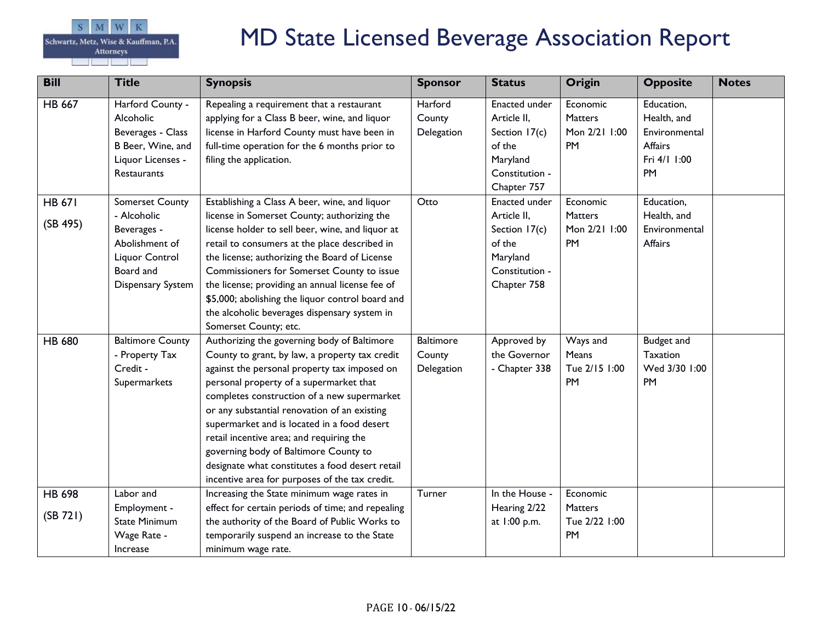

| <b>Bill</b>               | <b>Title</b>                                                                                                                      | <b>Synopsis</b>                                                                                                                                                                                                                                                                                                                                                                                                                                                                                                                  | <b>Sponsor</b>                           | <b>Status</b>                                                                                        | Origin                                                   | <b>Opposite</b>                                                                    | <b>Notes</b> |
|---------------------------|-----------------------------------------------------------------------------------------------------------------------------------|----------------------------------------------------------------------------------------------------------------------------------------------------------------------------------------------------------------------------------------------------------------------------------------------------------------------------------------------------------------------------------------------------------------------------------------------------------------------------------------------------------------------------------|------------------------------------------|------------------------------------------------------------------------------------------------------|----------------------------------------------------------|------------------------------------------------------------------------------------|--------------|
| <b>HB 667</b>             | Harford County -<br>Alcoholic<br>Beverages - Class<br>B Beer, Wine, and<br>Liquor Licenses -<br>Restaurants                       | Repealing a requirement that a restaurant<br>applying for a Class B beer, wine, and liquor<br>license in Harford County must have been in<br>full-time operation for the 6 months prior to<br>filing the application.                                                                                                                                                                                                                                                                                                            | Harford<br>County<br>Delegation          | Enacted under<br>Article II,<br>Section 17(c)<br>of the<br>Maryland<br>Constitution -<br>Chapter 757 | Economic<br><b>Matters</b><br>Mon 2/21 1:00<br>PM        | Education,<br>Health, and<br>Environmental<br>Affairs<br>Fri 4/1 1:00<br><b>PM</b> |              |
| <b>HB 671</b><br>(SB 495) | <b>Somerset County</b><br>- Alcoholic<br>Beverages -<br>Abolishment of<br>Liquor Control<br>Board and<br><b>Dispensary System</b> | Establishing a Class A beer, wine, and liquor<br>license in Somerset County; authorizing the<br>license holder to sell beer, wine, and liquor at<br>retail to consumers at the place described in<br>the license; authorizing the Board of License<br>Commissioners for Somerset County to issue<br>the license; providing an annual license fee of<br>\$5,000; abolishing the liquor control board and<br>the alcoholic beverages dispensary system in<br>Somerset County; etc.                                                 | Otto                                     | Enacted under<br>Article II,<br>Section 17(c)<br>of the<br>Maryland<br>Constitution -<br>Chapter 758 | Economic<br><b>Matters</b><br>Mon 2/21 1:00<br><b>PM</b> | Education,<br>Health, and<br>Environmental<br>Affairs                              |              |
| <b>HB 680</b>             | <b>Baltimore County</b><br>- Property Tax<br>Credit -<br>Supermarkets                                                             | Authorizing the governing body of Baltimore<br>County to grant, by law, a property tax credit<br>against the personal property tax imposed on<br>personal property of a supermarket that<br>completes construction of a new supermarket<br>or any substantial renovation of an existing<br>supermarket and is located in a food desert<br>retail incentive area; and requiring the<br>governing body of Baltimore County to<br>designate what constitutes a food desert retail<br>incentive area for purposes of the tax credit. | <b>Baltimore</b><br>County<br>Delegation | Approved by<br>the Governor<br>- Chapter 338                                                         | Ways and<br>Means<br>Tue 2/15 1:00<br>PM                 | <b>Budget and</b><br>Taxation<br>Wed 3/30 1:00<br>PM                               |              |
| <b>HB 698</b><br>(SB 721) | Labor and<br>Employment -<br><b>State Minimum</b><br>Wage Rate -<br>Increase                                                      | Increasing the State minimum wage rates in<br>effect for certain periods of time; and repealing<br>the authority of the Board of Public Works to<br>temporarily suspend an increase to the State<br>minimum wage rate.                                                                                                                                                                                                                                                                                                           | Turner                                   | In the House -<br>Hearing 2/22<br>at 1:00 p.m.                                                       | Economic<br><b>Matters</b><br>Tue 2/22 1:00<br>PM        |                                                                                    |              |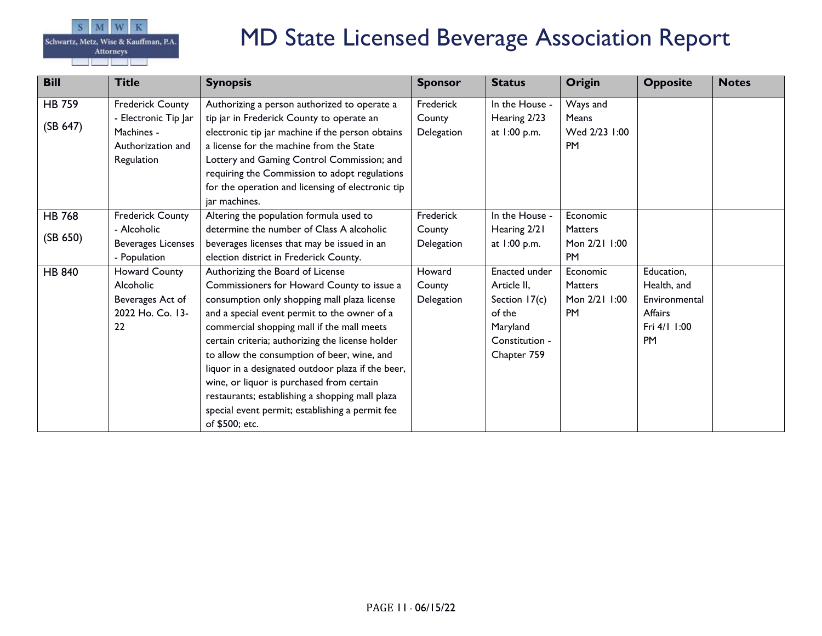

| <b>Bill</b>               | <b>Title</b>                                                                        | <b>Synopsis</b>                                                                                                                                                                                                                                                                                                                                                                                                                                                                                                                                           | <b>Sponsor</b>                    | <b>Status</b>                                                                                        | Origin                                                   | <b>Opposite</b>                                                                    | <b>Notes</b> |
|---------------------------|-------------------------------------------------------------------------------------|-----------------------------------------------------------------------------------------------------------------------------------------------------------------------------------------------------------------------------------------------------------------------------------------------------------------------------------------------------------------------------------------------------------------------------------------------------------------------------------------------------------------------------------------------------------|-----------------------------------|------------------------------------------------------------------------------------------------------|----------------------------------------------------------|------------------------------------------------------------------------------------|--------------|
| <b>HB 759</b>             | <b>Frederick County</b><br>- Electronic Tip Jar                                     | Authorizing a person authorized to operate a<br>tip jar in Frederick County to operate an                                                                                                                                                                                                                                                                                                                                                                                                                                                                 | Frederick<br>County               | In the House -<br>Hearing 2/23                                                                       | Ways and<br><b>Means</b>                                 |                                                                                    |              |
| (SB 647)                  | Machines -<br>Authorization and<br>Regulation                                       | electronic tip jar machine if the person obtains<br>a license for the machine from the State<br>Lottery and Gaming Control Commission; and<br>requiring the Commission to adopt regulations<br>for the operation and licensing of electronic tip                                                                                                                                                                                                                                                                                                          | Delegation                        | at 1:00 p.m.                                                                                         | Wed 2/23 1:00<br><b>PM</b>                               |                                                                                    |              |
|                           |                                                                                     | jar machines.                                                                                                                                                                                                                                                                                                                                                                                                                                                                                                                                             |                                   |                                                                                                      |                                                          |                                                                                    |              |
| <b>HB 768</b><br>(SB 650) | <b>Frederick County</b><br>- Alcoholic<br><b>Beverages Licenses</b><br>- Population | Altering the population formula used to<br>determine the number of Class A alcoholic<br>beverages licenses that may be issued in an<br>election district in Frederick County.                                                                                                                                                                                                                                                                                                                                                                             | Frederick<br>County<br>Delegation | In the House -<br>Hearing 2/21<br>at 1:00 p.m.                                                       | Economic<br><b>Matters</b><br>Mon 2/21 1:00<br><b>PM</b> |                                                                                    |              |
| <b>HB 840</b>             | Howard County<br><b>Alcoholic</b><br>Beverages Act of<br>2022 Ho. Co. 13-<br>22     | Authorizing the Board of License<br>Commissioners for Howard County to issue a<br>consumption only shopping mall plaza license<br>and a special event permit to the owner of a<br>commercial shopping mall if the mall meets<br>certain criteria; authorizing the license holder<br>to allow the consumption of beer, wine, and<br>liquor in a designated outdoor plaza if the beer,<br>wine, or liquor is purchased from certain<br>restaurants; establishing a shopping mall plaza<br>special event permit; establishing a permit fee<br>of \$500; etc. | Howard<br>County<br>Delegation    | Enacted under<br>Article II,<br>Section 17(c)<br>of the<br>Maryland<br>Constitution -<br>Chapter 759 | Economic<br><b>Matters</b><br>Mon 2/21 1:00<br><b>PM</b> | Education,<br>Health, and<br>Environmental<br>Affairs<br>Fri 4/1 1:00<br><b>PM</b> |              |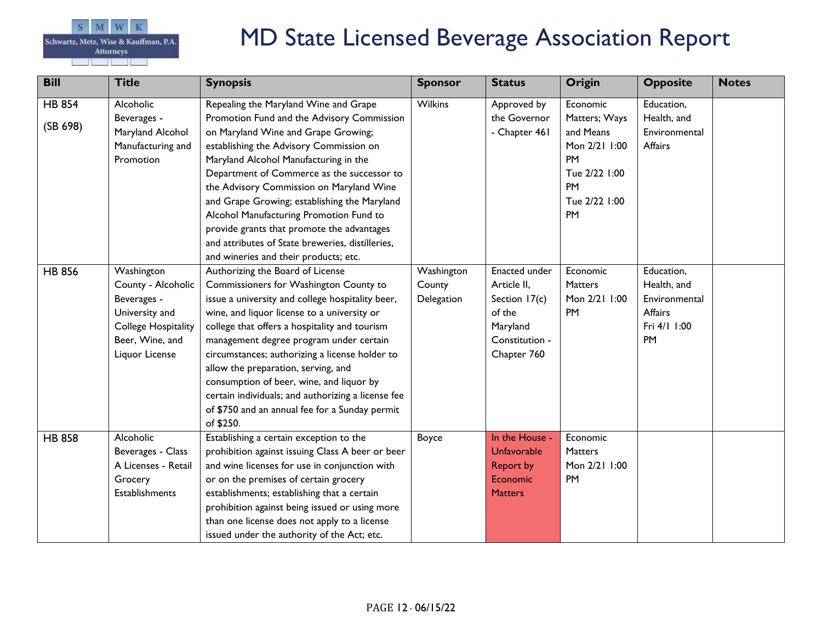

| <b>Bill</b>               | <b>Title</b>                                                                                                                         | <b>Synopsis</b>                                                                                                                                                                                                                                                                                                                                                                                                                                                                                                                                | <b>Sponsor</b>                     | <b>Status</b>                                                                                        | Origin                                                                                                             | <b>Opposite</b>                                                                    | <b>Notes</b> |
|---------------------------|--------------------------------------------------------------------------------------------------------------------------------------|------------------------------------------------------------------------------------------------------------------------------------------------------------------------------------------------------------------------------------------------------------------------------------------------------------------------------------------------------------------------------------------------------------------------------------------------------------------------------------------------------------------------------------------------|------------------------------------|------------------------------------------------------------------------------------------------------|--------------------------------------------------------------------------------------------------------------------|------------------------------------------------------------------------------------|--------------|
| <b>HB 854</b><br>(SB 698) | Alcoholic<br>Beverages -<br>Maryland Alcohol<br>Manufacturing and<br>Promotion                                                       | Repealing the Maryland Wine and Grape<br>Promotion Fund and the Advisory Commission<br>on Maryland Wine and Grape Growing;<br>establishing the Advisory Commission on<br>Maryland Alcohol Manufacturing in the<br>Department of Commerce as the successor to<br>the Advisory Commission on Maryland Wine<br>and Grape Growing; establishing the Maryland<br>Alcohol Manufacturing Promotion Fund to<br>provide grants that promote the advantages<br>and attributes of State breweries, distilleries,<br>and wineries and their products; etc. | <b>Wilkins</b>                     | Approved by<br>the Governor<br>- Chapter 461                                                         | Economic<br>Matters; Ways<br>and Means<br>Mon 2/21 1:00<br><b>PM</b><br>Tue 2/22 1:00<br>PM<br>Tue 2/22 1:00<br>PM | Education,<br>Health, and<br>Environmental<br>Affairs                              |              |
| <b>HB 856</b>             | Washington<br>County - Alcoholic<br>Beverages -<br>University and<br><b>College Hospitality</b><br>Beer, Wine, and<br>Liquor License | Authorizing the Board of License<br>Commissioners for Washington County to<br>issue a university and college hospitality beer,<br>wine, and liquor license to a university or<br>college that offers a hospitality and tourism<br>management degree program under certain<br>circumstances; authorizing a license holder to<br>allow the preparation, serving, and<br>consumption of beer, wine, and liquor by<br>certain individuals; and authorizing a license fee<br>of \$750 and an annual fee for a Sunday permit<br>of \$250.            | Washington<br>County<br>Delegation | Enacted under<br>Article II,<br>Section 17(c)<br>of the<br>Maryland<br>Constitution -<br>Chapter 760 | Economic<br>Matters<br>Mon 2/21 1:00<br>PM                                                                         | Education,<br>Health, and<br>Environmental<br>Affairs<br>Fri 4/1 1:00<br><b>PM</b> |              |
| <b>HB 858</b>             | Alcoholic<br>Beverages - Class<br>A Licenses - Retail<br>Grocery<br><b>Establishments</b>                                            | Establishing a certain exception to the<br>prohibition against issuing Class A beer or beer<br>and wine licenses for use in conjunction with<br>or on the premises of certain grocery<br>establishments; establishing that a certain<br>prohibition against being issued or using more<br>than one license does not apply to a license<br>issued under the authority of the Act; etc.                                                                                                                                                          | Boyce                              | In the House -<br>Unfavorable<br><b>Report by</b><br>Economic<br><b>Matters</b>                      | Economic<br><b>Matters</b><br>Mon 2/21 1:00<br><b>PM</b>                                                           |                                                                                    |              |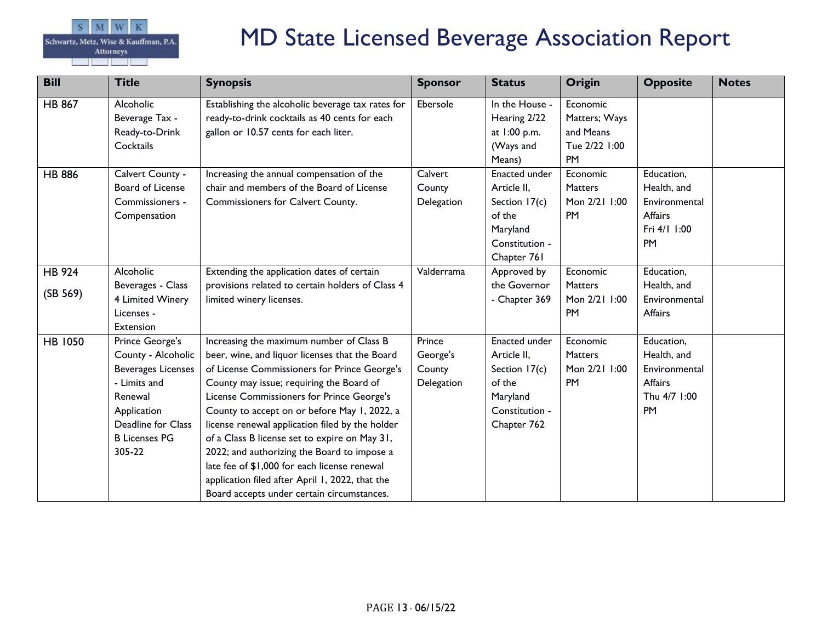

| <b>Bill</b>               | <b>Title</b>                                                                                                                                                         | <b>Synopsis</b>                                                                                                                                                                                                                                                                                                                                                                                                                                                                                                                                                                         | <b>Sponsor</b>                             | <b>Status</b>                                                                                        | <b>Origin</b>                                                        | <b>Opposite</b>                                                                           | <b>Notes</b> |
|---------------------------|----------------------------------------------------------------------------------------------------------------------------------------------------------------------|-----------------------------------------------------------------------------------------------------------------------------------------------------------------------------------------------------------------------------------------------------------------------------------------------------------------------------------------------------------------------------------------------------------------------------------------------------------------------------------------------------------------------------------------------------------------------------------------|--------------------------------------------|------------------------------------------------------------------------------------------------------|----------------------------------------------------------------------|-------------------------------------------------------------------------------------------|--------------|
| <b>HB 867</b>             | Alcoholic<br>Beverage Tax -<br>Ready-to-Drink<br>Cocktails                                                                                                           | Establishing the alcoholic beverage tax rates for<br>ready-to-drink cocktails as 40 cents for each<br>gallon or 10.57 cents for each liter.                                                                                                                                                                                                                                                                                                                                                                                                                                             | Ebersole                                   | In the House -<br>Hearing 2/22<br>at 1:00 p.m.<br>(Ways and<br>Means)                                | Economic<br>Matters; Ways<br>and Means<br>Tue 2/22 1:00<br><b>PM</b> |                                                                                           |              |
| <b>HB 886</b>             | Calvert County -<br>Board of License<br>Commissioners -<br>Compensation                                                                                              | Increasing the annual compensation of the<br>chair and members of the Board of License<br>Commissioners for Calvert County.                                                                                                                                                                                                                                                                                                                                                                                                                                                             | Calvert<br>County<br>Delegation            | Enacted under<br>Article II,<br>Section 17(c)<br>of the<br>Maryland<br>Constitution -<br>Chapter 761 | Economic<br><b>Matters</b><br>Mon 2/21 1:00<br><b>PM</b>             | Education,<br>Health, and<br>Environmental<br><b>Affairs</b><br>Fri 4/1 1:00<br><b>PM</b> |              |
| <b>HB 924</b><br>(SB 569) | Alcoholic<br>Beverages - Class<br>4 Limited Winery<br>Licenses -<br>Extension                                                                                        | Extending the application dates of certain<br>provisions related to certain holders of Class 4<br>limited winery licenses.                                                                                                                                                                                                                                                                                                                                                                                                                                                              | Valderrama                                 | Approved by<br>the Governor<br>- Chapter 369                                                         | Economic<br><b>Matters</b><br>Mon 2/21 1:00<br><b>PM</b>             | Education,<br>Health, and<br>Environmental<br>Affairs                                     |              |
| <b>HB 1050</b>            | Prince George's<br>County - Alcoholic<br><b>Beverages Licenses</b><br>- Limits and<br>Renewal<br>Application<br>Deadline for Class<br><b>B Licenses PG</b><br>305-22 | Increasing the maximum number of Class B<br>beer, wine, and liquor licenses that the Board<br>of License Commissioners for Prince George's<br>County may issue; requiring the Board of<br>License Commissioners for Prince George's<br>County to accept on or before May 1, 2022, a<br>license renewal application filed by the holder<br>of a Class B license set to expire on May 31,<br>2022; and authorizing the Board to impose a<br>late fee of \$1,000 for each license renewal<br>application filed after April 1, 2022, that the<br>Board accepts under certain circumstances. | Prince<br>George's<br>County<br>Delegation | Enacted under<br>Article II,<br>Section 17(c)<br>of the<br>Maryland<br>Constitution -<br>Chapter 762 | Economic<br><b>Matters</b><br>Mon 2/21 1:00<br><b>PM</b>             | Education,<br>Health, and<br>Environmental<br>Affairs<br>Thu 4/7 1:00<br><b>PM</b>        |              |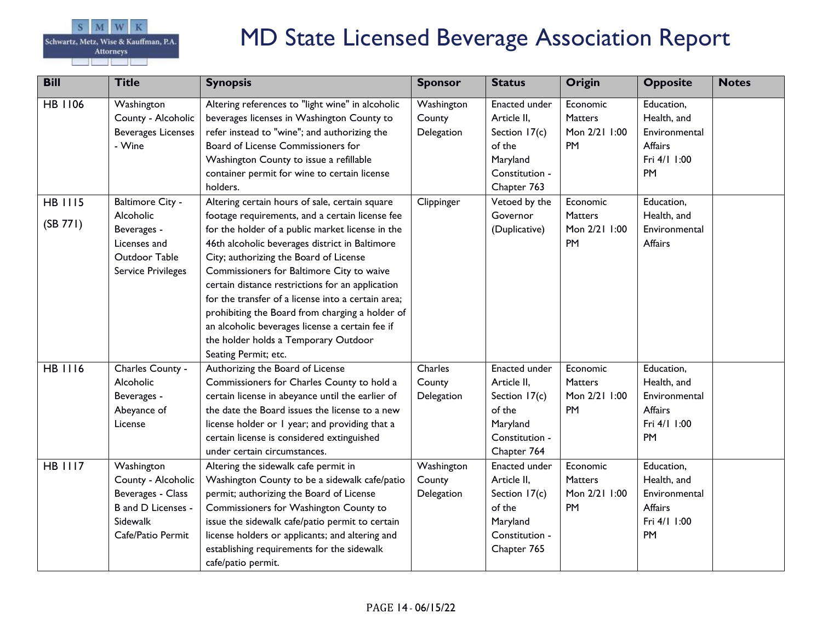

| <b>Bill</b>                | <b>Title</b>                                                                                                      | <b>Synopsis</b>                                                                                                                                                                                                                                                                                                                                                                                                                                                                                                                                                                | <b>Sponsor</b>                     | <b>Status</b>                                                                                        | <b>Origin</b>                                            | <b>Opposite</b>                                                             | <b>Notes</b> |
|----------------------------|-------------------------------------------------------------------------------------------------------------------|--------------------------------------------------------------------------------------------------------------------------------------------------------------------------------------------------------------------------------------------------------------------------------------------------------------------------------------------------------------------------------------------------------------------------------------------------------------------------------------------------------------------------------------------------------------------------------|------------------------------------|------------------------------------------------------------------------------------------------------|----------------------------------------------------------|-----------------------------------------------------------------------------|--------------|
| <b>HB 1106</b>             | Washington<br>County - Alcoholic<br><b>Beverages Licenses</b><br>- Wine                                           | Altering references to "light wine" in alcoholic<br>beverages licenses in Washington County to<br>refer instead to "wine"; and authorizing the<br>Board of License Commissioners for<br>Washington County to issue a refillable<br>container permit for wine to certain license<br>holders.                                                                                                                                                                                                                                                                                    | Washington<br>County<br>Delegation | Enacted under<br>Article II,<br>Section 17(c)<br>of the<br>Maryland<br>Constitution -<br>Chapter 763 | Economic<br><b>Matters</b><br>Mon 2/21 1:00<br>PM        | Education,<br>Health, and<br>Environmental<br>Affairs<br>Fri 4/1 1:00<br>PM |              |
| <b>HB 1115</b><br>(SB 771) | <b>Baltimore City -</b><br>Alcoholic<br>Beverages -<br>Licenses and<br>Outdoor Table<br><b>Service Privileges</b> | Altering certain hours of sale, certain square<br>footage requirements, and a certain license fee<br>for the holder of a public market license in the<br>46th alcoholic beverages district in Baltimore<br>City; authorizing the Board of License<br>Commissioners for Baltimore City to waive<br>certain distance restrictions for an application<br>for the transfer of a license into a certain area;<br>prohibiting the Board from charging a holder of<br>an alcoholic beverages license a certain fee if<br>the holder holds a Temporary Outdoor<br>Seating Permit; etc. | Clippinger                         | Vetoed by the<br>Governor<br>(Duplicative)                                                           | Economic<br>Matters<br>Mon 2/21 1:00<br><b>PM</b>        | Education,<br>Health, and<br>Environmental<br>Affairs                       |              |
| <b>HB 1116</b>             | Charles County -<br>Alcoholic<br>Beverages -<br>Abeyance of<br>License                                            | Authorizing the Board of License<br>Commissioners for Charles County to hold a<br>certain license in abeyance until the earlier of<br>the date the Board issues the license to a new<br>license holder or I year; and providing that a<br>certain license is considered extinguished<br>under certain circumstances.                                                                                                                                                                                                                                                           | Charles<br>County<br>Delegation    | Enacted under<br>Article II,<br>Section 17(c)<br>of the<br>Maryland<br>Constitution -<br>Chapter 764 | Economic<br>Matters<br>Mon 2/21 1:00<br>PM               | Education,<br>Health, and<br>Environmental<br>Affairs<br>Fri 4/1 1:00<br>PM |              |
| <b>HB 1117</b>             | Washington<br>County - Alcoholic<br>Beverages - Class<br>B and D Licenses -<br>Sidewalk<br>Cafe/Patio Permit      | Altering the sidewalk cafe permit in<br>Washington County to be a sidewalk cafe/patio<br>permit; authorizing the Board of License<br>Commissioners for Washington County to<br>issue the sidewalk cafe/patio permit to certain<br>license holders or applicants; and altering and<br>establishing requirements for the sidewalk<br>cafe/patio permit.                                                                                                                                                                                                                          | Washington<br>County<br>Delegation | Enacted under<br>Article II,<br>Section 17(c)<br>of the<br>Maryland<br>Constitution -<br>Chapter 765 | Economic<br><b>Matters</b><br>Mon 2/21 1:00<br><b>PM</b> | Education,<br>Health, and<br>Environmental<br>Affairs<br>Fri 4/1 1:00<br>PM |              |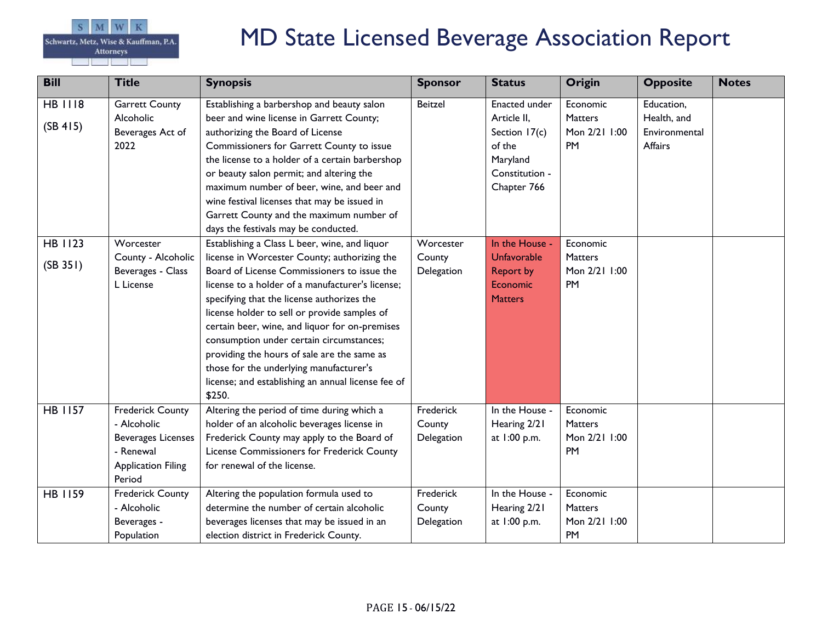

| <b>Bill</b>                | <b>Title</b>                                                                                                            | <b>Synopsis</b>                                                                                                                                                                                                                                                                                                                                                                                                                                                                                                                                        | <b>Sponsor</b>                    | <b>Status</b>                                                                                               | <b>Origin</b>                                            | <b>Opposite</b>                                              | <b>Notes</b> |
|----------------------------|-------------------------------------------------------------------------------------------------------------------------|--------------------------------------------------------------------------------------------------------------------------------------------------------------------------------------------------------------------------------------------------------------------------------------------------------------------------------------------------------------------------------------------------------------------------------------------------------------------------------------------------------------------------------------------------------|-----------------------------------|-------------------------------------------------------------------------------------------------------------|----------------------------------------------------------|--------------------------------------------------------------|--------------|
| <b>HB 1118</b><br>(SB 415) | <b>Garrett County</b><br>Alcoholic<br>Beverages Act of<br>2022                                                          | Establishing a barbershop and beauty salon<br>beer and wine license in Garrett County;<br>authorizing the Board of License<br>Commissioners for Garrett County to issue<br>the license to a holder of a certain barbershop<br>or beauty salon permit; and altering the<br>maximum number of beer, wine, and beer and<br>wine festival licenses that may be issued in<br>Garrett County and the maximum number of<br>days the festivals may be conducted.                                                                                               | <b>Beitzel</b>                    | <b>Enacted under</b><br>Article II,<br>Section 17(c)<br>of the<br>Maryland<br>Constitution -<br>Chapter 766 | Economic<br><b>Matters</b><br>Mon 2/21 1:00<br><b>PM</b> | Education,<br>Health, and<br>Environmental<br><b>Affairs</b> |              |
| <b>HB 1123</b><br>(SB 351) | Worcester<br>County - Alcoholic<br>Beverages - Class<br>L License                                                       | Establishing a Class L beer, wine, and liquor<br>license in Worcester County; authorizing the<br>Board of License Commissioners to issue the<br>license to a holder of a manufacturer's license;<br>specifying that the license authorizes the<br>license holder to sell or provide samples of<br>certain beer, wine, and liquor for on-premises<br>consumption under certain circumstances;<br>providing the hours of sale are the same as<br>those for the underlying manufacturer's<br>license; and establishing an annual license fee of<br>\$250. | Worcester<br>County<br>Delegation | In the House -<br><b>Unfavorable</b><br><b>Report by</b><br>Economic<br><b>Matters</b>                      | Economic<br><b>Matters</b><br>Mon 2/21 1:00<br>PM        |                                                              |              |
| <b>HB 1157</b>             | <b>Frederick County</b><br>- Alcoholic<br><b>Beverages Licenses</b><br>- Renewal<br><b>Application Filing</b><br>Period | Altering the period of time during which a<br>holder of an alcoholic beverages license in<br>Frederick County may apply to the Board of<br>License Commissioners for Frederick County<br>for renewal of the license.                                                                                                                                                                                                                                                                                                                                   | Frederick<br>County<br>Delegation | In the House -<br>Hearing 2/21<br>at 1:00 p.m.                                                              | Economic<br><b>Matters</b><br>Mon 2/21 1:00<br><b>PM</b> |                                                              |              |
| <b>HB 1159</b>             | <b>Frederick County</b><br>- Alcoholic<br>Beverages -<br>Population                                                     | Altering the population formula used to<br>determine the number of certain alcoholic<br>beverages licenses that may be issued in an<br>election district in Frederick County.                                                                                                                                                                                                                                                                                                                                                                          | Frederick<br>County<br>Delegation | In the House -<br>Hearing 2/21<br>at 1:00 p.m.                                                              | Economic<br><b>Matters</b><br>Mon 2/21 1:00<br><b>PM</b> |                                                              |              |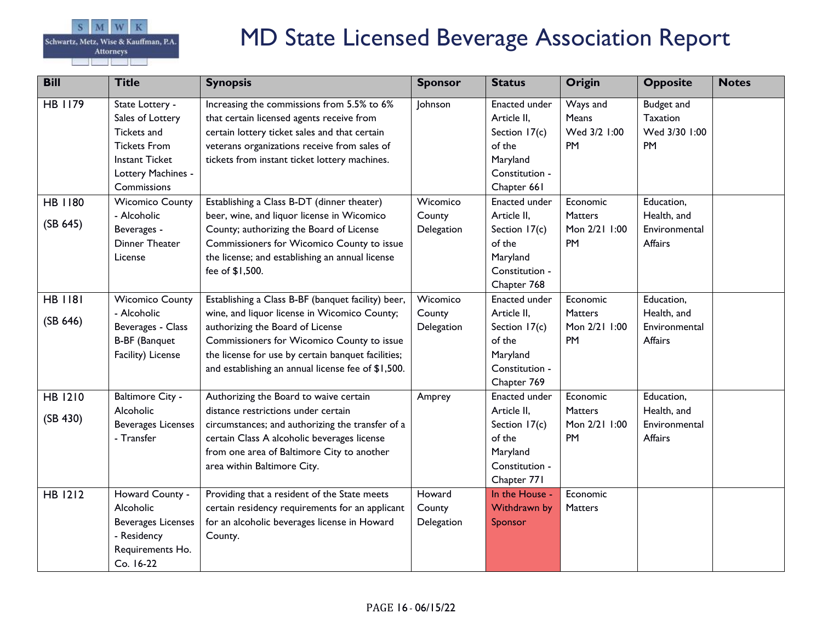

| <b>Bill</b>    | <b>Title</b>                                                                                                                            | <b>Synopsis</b>                                                                                                                                                                                                                            | <b>Sponsor</b>       | <b>Status</b>                                                                                        | <b>Origin</b>                           | <b>Opposite</b>                               | <b>Notes</b> |
|----------------|-----------------------------------------------------------------------------------------------------------------------------------------|--------------------------------------------------------------------------------------------------------------------------------------------------------------------------------------------------------------------------------------------|----------------------|------------------------------------------------------------------------------------------------------|-----------------------------------------|-----------------------------------------------|--------------|
| <b>HB 1179</b> | State Lottery -<br>Sales of Lottery<br>Tickets and<br><b>Tickets From</b><br><b>Instant Ticket</b><br>Lottery Machines -<br>Commissions | Increasing the commissions from 5.5% to 6%<br>that certain licensed agents receive from<br>certain lottery ticket sales and that certain<br>veterans organizations receive from sales of<br>tickets from instant ticket lottery machines.  | Johnson              | Enacted under<br>Article II,<br>Section 17(c)<br>of the<br>Maryland<br>Constitution -<br>Chapter 661 | Ways and<br>Means<br>Wed 3/2 1:00<br>PM | Budget and<br>Taxation<br>Wed 3/30 1:00<br>PM |              |
| <b>HB 1180</b> | <b>Wicomico County</b>                                                                                                                  | Establishing a Class B-DT (dinner theater)                                                                                                                                                                                                 | Wicomico             | Enacted under                                                                                        | Economic                                | Education,                                    |              |
| (SB 645)       | - Alcoholic<br>Beverages -<br>Dinner Theater<br>License                                                                                 | beer, wine, and liquor license in Wicomico<br>County; authorizing the Board of License<br>Commissioners for Wicomico County to issue<br>the license; and establishing an annual license<br>fee of \$1,500.                                 | County<br>Delegation | Article II,<br>Section 17(c)<br>of the<br>Maryland<br>Constitution -<br>Chapter 768                  | <b>Matters</b><br>Mon 2/21 1:00<br>PM   | Health, and<br>Environmental<br>Affairs       |              |
| <b>HB 1181</b> | <b>Wicomico County</b>                                                                                                                  | Establishing a Class B-BF (banquet facility) beer,                                                                                                                                                                                         | Wicomico             | Enacted under                                                                                        | Economic                                | Education,                                    |              |
| (SB 646)       | - Alcoholic<br>Beverages - Class<br><b>B-BF</b> (Banquet<br>Facility) License                                                           | wine, and liquor license in Wicomico County;<br>authorizing the Board of License<br>Commissioners for Wicomico County to issue<br>the license for use by certain banquet facilities;<br>and establishing an annual license fee of \$1,500. | County<br>Delegation | Article II,<br>Section 17(c)<br>of the<br>Maryland<br>Constitution -<br>Chapter 769                  | <b>Matters</b><br>Mon 2/21 1:00<br>PM   | Health, and<br>Environmental<br>Affairs       |              |
| <b>HB 1210</b> | <b>Baltimore City -</b>                                                                                                                 | Authorizing the Board to waive certain                                                                                                                                                                                                     | Amprey               | Enacted under                                                                                        | Economic                                | Education,                                    |              |
| (SB 430)       | Alcoholic<br><b>Beverages Licenses</b><br>- Transfer                                                                                    | distance restrictions under certain<br>circumstances; and authorizing the transfer of a<br>certain Class A alcoholic beverages license<br>from one area of Baltimore City to another<br>area within Baltimore City.                        |                      | Article II,<br>Section 17(c)<br>of the<br>Maryland<br>Constitution -<br>Chapter 771                  | <b>Matters</b><br>Mon 2/21 1:00<br>PM   | Health, and<br>Environmental<br>Affairs       |              |
| <b>HB 1212</b> | Howard County -                                                                                                                         | Providing that a resident of the State meets                                                                                                                                                                                               | Howard               | In the House -                                                                                       | Economic                                |                                               |              |
|                | Alcoholic<br><b>Beverages Licenses</b><br>- Residency<br>Requirements Ho.<br>Co. 16-22                                                  | certain residency requirements for an applicant<br>for an alcoholic beverages license in Howard<br>County.                                                                                                                                 | County<br>Delegation | Withdrawn by<br>Sponsor                                                                              | Matters                                 |                                               |              |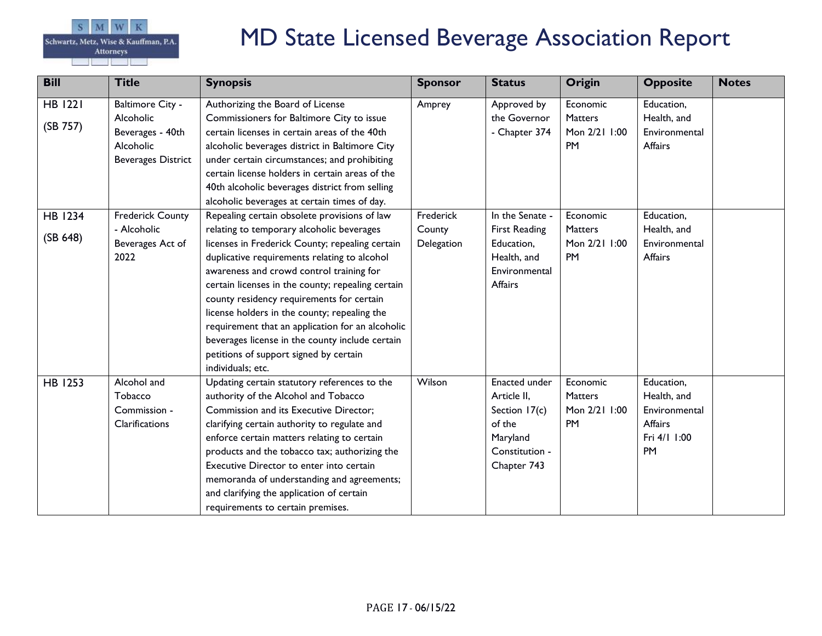

| <b>Bill</b>                | <b>Title</b>                                                                                       | <b>Synopsis</b>                                                                                                                                                                                                                                                                                                                                                                                                                                                                                                                                                  | <b>Sponsor</b>                    | <b>Status</b>                                                                                        | <b>Origin</b>                                            | <b>Opposite</b>                                                             | <b>Notes</b> |
|----------------------------|----------------------------------------------------------------------------------------------------|------------------------------------------------------------------------------------------------------------------------------------------------------------------------------------------------------------------------------------------------------------------------------------------------------------------------------------------------------------------------------------------------------------------------------------------------------------------------------------------------------------------------------------------------------------------|-----------------------------------|------------------------------------------------------------------------------------------------------|----------------------------------------------------------|-----------------------------------------------------------------------------|--------------|
| <b>HB 1221</b><br>(SB 757) | <b>Baltimore City -</b><br>Alcoholic<br>Beverages - 40th<br>Alcoholic<br><b>Beverages District</b> | Authorizing the Board of License<br>Commissioners for Baltimore City to issue<br>certain licenses in certain areas of the 40th<br>alcoholic beverages district in Baltimore City<br>under certain circumstances; and prohibiting<br>certain license holders in certain areas of the<br>40th alcoholic beverages district from selling<br>alcoholic beverages at certain times of day.                                                                                                                                                                            | Amprey                            | Approved by<br>the Governor<br>- Chapter 374                                                         | Economic<br><b>Matters</b><br>Mon 2/21 1:00<br><b>PM</b> | Education,<br>Health, and<br>Environmental<br>Affairs                       |              |
| <b>HB 1234</b><br>(SB 648) | <b>Frederick County</b><br>- Alcoholic<br>Beverages Act of<br>2022                                 | Repealing certain obsolete provisions of law<br>relating to temporary alcoholic beverages<br>licenses in Frederick County; repealing certain<br>duplicative requirements relating to alcohol<br>awareness and crowd control training for<br>certain licenses in the county; repealing certain<br>county residency requirements for certain<br>license holders in the county; repealing the<br>requirement that an application for an alcoholic<br>beverages license in the county include certain<br>petitions of support signed by certain<br>individuals; etc. | Frederick<br>County<br>Delegation | In the Senate -<br><b>First Reading</b><br>Education,<br>Health, and<br>Environmental<br>Affairs     | Economic<br><b>Matters</b><br>Mon 2/21 1:00<br><b>PM</b> | Education,<br>Health, and<br>Environmental<br>Affairs                       |              |
| <b>HB 1253</b>             | Alcohol and<br>Tobacco<br>Commission -<br>Clarifications                                           | Updating certain statutory references to the<br>authority of the Alcohol and Tobacco<br>Commission and its Executive Director;<br>clarifying certain authority to regulate and<br>enforce certain matters relating to certain<br>products and the tobacco tax; authorizing the<br>Executive Director to enter into certain<br>memoranda of understanding and agreements;<br>and clarifying the application of certain<br>requirements to certain premises.                                                                                                       | Wilson                            | Enacted under<br>Article II,<br>Section 17(c)<br>of the<br>Maryland<br>Constitution -<br>Chapter 743 | Economic<br><b>Matters</b><br>Mon 2/21 1:00<br><b>PM</b> | Education,<br>Health, and<br>Environmental<br>Affairs<br>Fri 4/1 1:00<br>PM |              |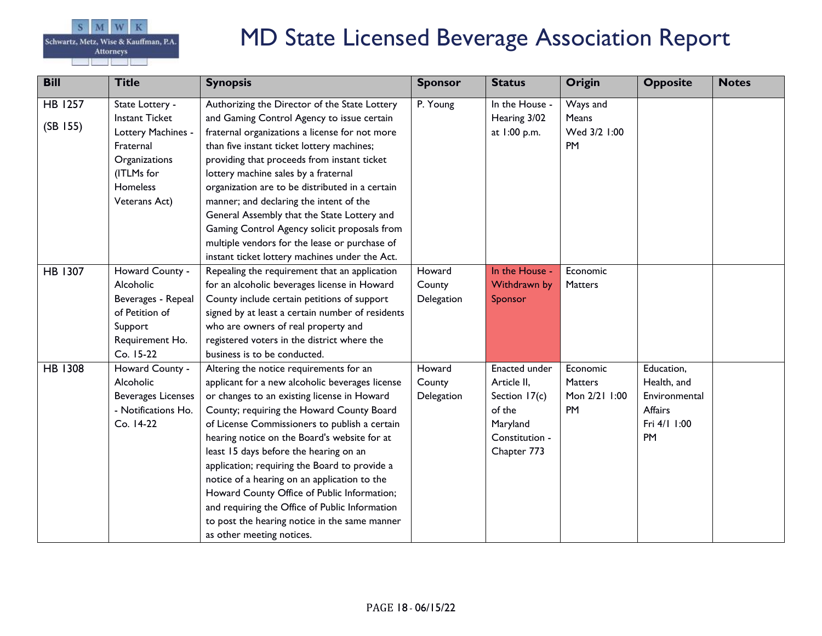

| <b>Bill</b>         | <b>Title</b>                                                                                                                                   | <b>Synopsis</b>                                                                                                                                                                                                                                                                                                                                                                                                                                                                                                                                                                                                   | <b>Sponsor</b>                 | <b>Status</b>                                                                                        | Origin                                            | <b>Opposite</b>                                                             | <b>Notes</b> |
|---------------------|------------------------------------------------------------------------------------------------------------------------------------------------|-------------------------------------------------------------------------------------------------------------------------------------------------------------------------------------------------------------------------------------------------------------------------------------------------------------------------------------------------------------------------------------------------------------------------------------------------------------------------------------------------------------------------------------------------------------------------------------------------------------------|--------------------------------|------------------------------------------------------------------------------------------------------|---------------------------------------------------|-----------------------------------------------------------------------------|--------------|
| HB 1257<br>(SB 155) | State Lottery -<br><b>Instant Ticket</b><br>Lottery Machines -<br>Fraternal<br>Organizations<br>(ITLMs for<br><b>Homeless</b><br>Veterans Act) | Authorizing the Director of the State Lottery<br>and Gaming Control Agency to issue certain<br>fraternal organizations a license for not more<br>than five instant ticket lottery machines;<br>providing that proceeds from instant ticket<br>lottery machine sales by a fraternal<br>organization are to be distributed in a certain<br>manner; and declaring the intent of the<br>General Assembly that the State Lottery and<br>Gaming Control Agency solicit proposals from<br>multiple vendors for the lease or purchase of<br>instant ticket lottery machines under the Act.                                | P. Young                       | In the House -<br>Hearing 3/02<br>at 1:00 p.m.                                                       | Ways and<br>Means<br>Wed 3/2 1:00<br><b>PM</b>    |                                                                             |              |
| HB 1307             | Howard County -<br>Alcoholic<br>Beverages - Repeal<br>of Petition of<br>Support<br>Requirement Ho.<br>Co. 15-22                                | Repealing the requirement that an application<br>for an alcoholic beverages license in Howard<br>County include certain petitions of support<br>signed by at least a certain number of residents<br>who are owners of real property and<br>registered voters in the district where the<br>business is to be conducted.                                                                                                                                                                                                                                                                                            | Howard<br>County<br>Delegation | In the House -<br>Withdrawn by<br>Sponsor                                                            | Economic<br><b>Matters</b>                        |                                                                             |              |
| HB 1308             | Howard County -<br>Alcoholic<br><b>Beverages Licenses</b><br>- Notifications Ho.<br>Co. 14-22                                                  | Altering the notice requirements for an<br>applicant for a new alcoholic beverages license<br>or changes to an existing license in Howard<br>County; requiring the Howard County Board<br>of License Commissioners to publish a certain<br>hearing notice on the Board's website for at<br>least 15 days before the hearing on an<br>application; requiring the Board to provide a<br>notice of a hearing on an application to the<br>Howard County Office of Public Information;<br>and requiring the Office of Public Information<br>to post the hearing notice in the same manner<br>as other meeting notices. | Howard<br>County<br>Delegation | Enacted under<br>Article II,<br>Section 17(c)<br>of the<br>Maryland<br>Constitution -<br>Chapter 773 | Economic<br><b>Matters</b><br>Mon 2/21 1:00<br>PM | Education,<br>Health, and<br>Environmental<br>Affairs<br>Fri 4/1 1:00<br>PM |              |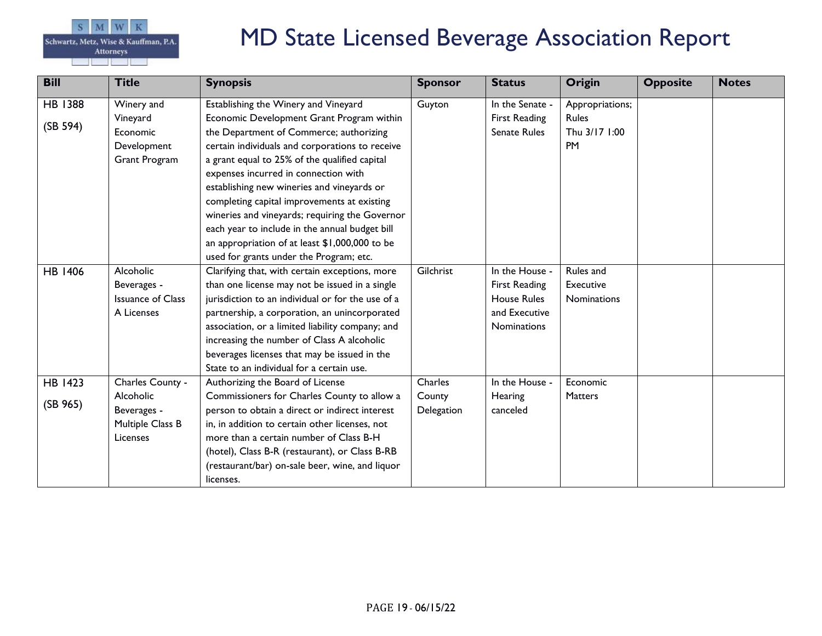

| <b>Bill</b>    | <b>Title</b>             | <b>Synopsis</b>                                   | <b>Sponsor</b> | <b>Status</b>        | <b>Origin</b>      | <b>Opposite</b> | <b>Notes</b> |
|----------------|--------------------------|---------------------------------------------------|----------------|----------------------|--------------------|-----------------|--------------|
| <b>HB 1388</b> | Winery and               | Establishing the Winery and Vineyard              | Guyton         | In the Senate -      | Appropriations;    |                 |              |
|                | Vineyard                 | Economic Development Grant Program within         |                | <b>First Reading</b> | <b>Rules</b>       |                 |              |
| (SB 594)       | Economic                 | the Department of Commerce; authorizing           |                | <b>Senate Rules</b>  | Thu 3/17 1:00      |                 |              |
|                | Development              | certain individuals and corporations to receive   |                |                      | <b>PM</b>          |                 |              |
|                | Grant Program            | a grant equal to 25% of the qualified capital     |                |                      |                    |                 |              |
|                |                          | expenses incurred in connection with              |                |                      |                    |                 |              |
|                |                          | establishing new wineries and vineyards or        |                |                      |                    |                 |              |
|                |                          | completing capital improvements at existing       |                |                      |                    |                 |              |
|                |                          | wineries and vineyards; requiring the Governor    |                |                      |                    |                 |              |
|                |                          | each year to include in the annual budget bill    |                |                      |                    |                 |              |
|                |                          | an appropriation of at least \$1,000,000 to be    |                |                      |                    |                 |              |
|                |                          | used for grants under the Program; etc.           |                |                      |                    |                 |              |
| HB 1406        | Alcoholic                | Clarifying that, with certain exceptions, more    | Gilchrist      | In the House -       | Rules and          |                 |              |
|                | Beverages -              | than one license may not be issued in a single    |                | <b>First Reading</b> | <b>Executive</b>   |                 |              |
|                | <b>Issuance of Class</b> | jurisdiction to an individual or for the use of a |                | <b>House Rules</b>   | <b>Nominations</b> |                 |              |
|                | A Licenses               | partnership, a corporation, an unincorporated     |                | and Executive        |                    |                 |              |
|                |                          | association, or a limited liability company; and  |                | Nominations          |                    |                 |              |
|                |                          | increasing the number of Class A alcoholic        |                |                      |                    |                 |              |
|                |                          | beverages licenses that may be issued in the      |                |                      |                    |                 |              |
|                |                          | State to an individual for a certain use.         |                |                      |                    |                 |              |
| HB 1423        | Charles County -         | Authorizing the Board of License                  | Charles        | In the House -       | Economic           |                 |              |
|                | Alcoholic                | Commissioners for Charles County to allow a       | County         | Hearing              | <b>Matters</b>     |                 |              |
| (SB 965)       | Beverages -              | person to obtain a direct or indirect interest    | Delegation     | canceled             |                    |                 |              |
|                | Multiple Class B         | in, in addition to certain other licenses, not    |                |                      |                    |                 |              |
|                | Licenses                 | more than a certain number of Class B-H           |                |                      |                    |                 |              |
|                |                          | (hotel), Class B-R (restaurant), or Class B-RB    |                |                      |                    |                 |              |
|                |                          | (restaurant/bar) on-sale beer, wine, and liquor   |                |                      |                    |                 |              |
|                |                          | licenses.                                         |                |                      |                    |                 |              |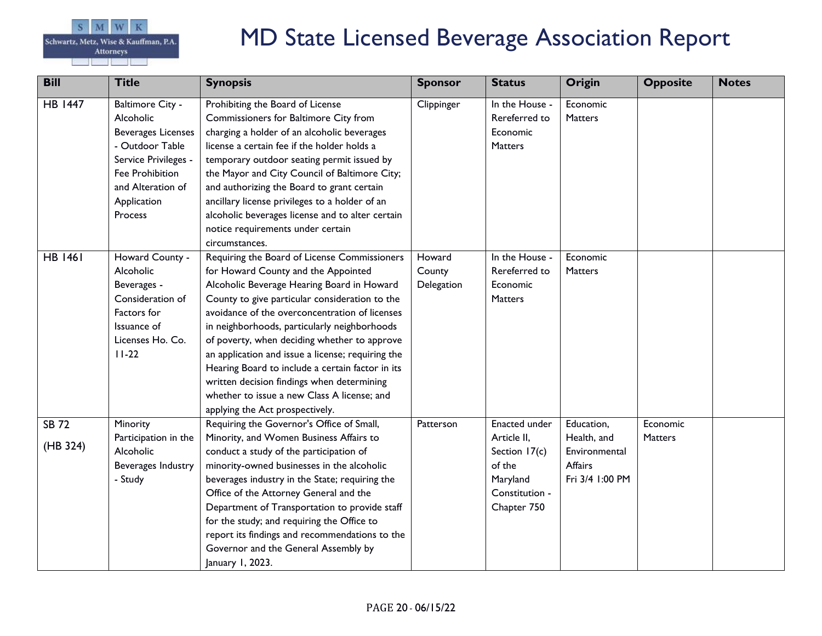

| <b>Bill</b>              | <b>Title</b>                                                                                                                                                                   | <b>Synopsis</b>                                                                                                                                                                                                                                                                                                                                                                                                                                                                                                                                                                | <b>Sponsor</b>                 | <b>Status</b>                                                                                        | Origin                                                                   | <b>Opposite</b>     | <b>Notes</b> |
|--------------------------|--------------------------------------------------------------------------------------------------------------------------------------------------------------------------------|--------------------------------------------------------------------------------------------------------------------------------------------------------------------------------------------------------------------------------------------------------------------------------------------------------------------------------------------------------------------------------------------------------------------------------------------------------------------------------------------------------------------------------------------------------------------------------|--------------------------------|------------------------------------------------------------------------------------------------------|--------------------------------------------------------------------------|---------------------|--------------|
| <b>HB 1447</b>           | <b>Baltimore City -</b><br>Alcoholic<br><b>Beverages Licenses</b><br>- Outdoor Table<br>Service Privileges -<br>Fee Prohibition<br>and Alteration of<br>Application<br>Process | Prohibiting the Board of License<br>Commissioners for Baltimore City from<br>charging a holder of an alcoholic beverages<br>license a certain fee if the holder holds a<br>temporary outdoor seating permit issued by<br>the Mayor and City Council of Baltimore City;<br>and authorizing the Board to grant certain<br>ancillary license privileges to a holder of an<br>alcoholic beverages license and to alter certain<br>notice requirements under certain<br>circumstances.                                                                                              | Clippinger                     | In the House -<br>Rereferred to<br>Economic<br><b>Matters</b>                                        | Economic<br>Matters                                                      |                     |              |
| <b>HB 1461</b>           | Howard County -<br>Alcoholic<br>Beverages -<br>Consideration of<br>Factors for<br>Issuance of<br>Licenses Ho. Co.<br>$11-22$                                                   | Requiring the Board of License Commissioners<br>for Howard County and the Appointed<br>Alcoholic Beverage Hearing Board in Howard<br>County to give particular consideration to the<br>avoidance of the overconcentration of licenses<br>in neighborhoods, particularly neighborhoods<br>of poverty, when deciding whether to approve<br>an application and issue a license; requiring the<br>Hearing Board to include a certain factor in its<br>written decision findings when determining<br>whether to issue a new Class A license; and<br>applying the Act prospectively. | Howard<br>County<br>Delegation | In the House -<br>Rereferred to<br>Economic<br>Matters                                               | Economic<br>Matters                                                      |                     |              |
| <b>SB 72</b><br>(HB 324) | Minority<br>Participation in the<br>Alcoholic<br>Beverages Industry<br>- Study                                                                                                 | Requiring the Governor's Office of Small,<br>Minority, and Women Business Affairs to<br>conduct a study of the participation of<br>minority-owned businesses in the alcoholic<br>beverages industry in the State; requiring the<br>Office of the Attorney General and the<br>Department of Transportation to provide staff<br>for the study; and requiring the Office to<br>report its findings and recommendations to the<br>Governor and the General Assembly by<br>January 1, 2023.                                                                                         | Patterson                      | Enacted under<br>Article II,<br>Section 17(c)<br>of the<br>Maryland<br>Constitution -<br>Chapter 750 | Education,<br>Health, and<br>Environmental<br>Affairs<br>Fri 3/4 1:00 PM | Economic<br>Matters |              |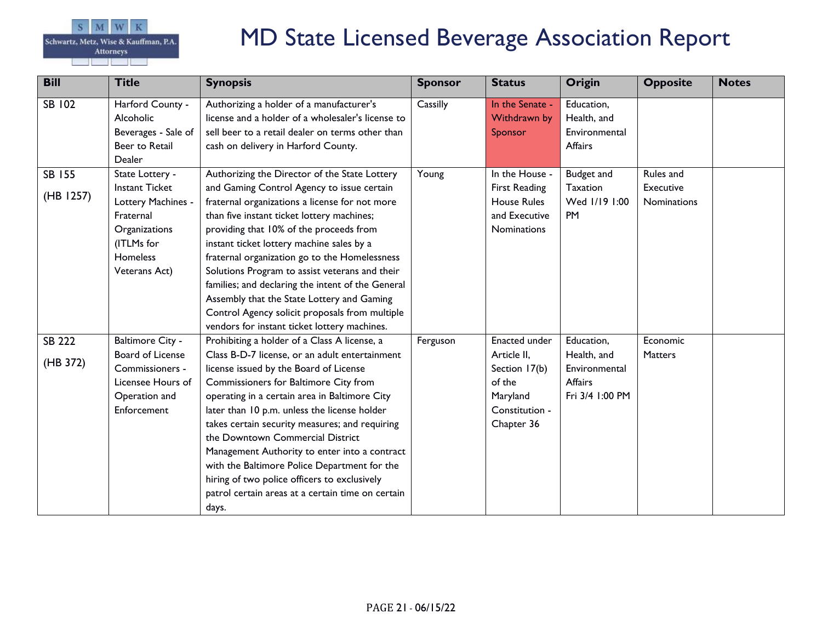

| <b>Bill</b>   | <b>Title</b>                                                                                                                | <b>Synopsis</b>                                                                                                                                                                                                                                                                                                                                                                                                                                                                                                                            | <b>Sponsor</b> | <b>Status</b>                                                                      | <b>Origin</b>                                              | <b>Opposite</b>          | <b>Notes</b> |
|---------------|-----------------------------------------------------------------------------------------------------------------------------|--------------------------------------------------------------------------------------------------------------------------------------------------------------------------------------------------------------------------------------------------------------------------------------------------------------------------------------------------------------------------------------------------------------------------------------------------------------------------------------------------------------------------------------------|----------------|------------------------------------------------------------------------------------|------------------------------------------------------------|--------------------------|--------------|
| <b>SB 102</b> | Harford County -<br>Alcoholic<br>Beverages - Sale of<br>Beer to Retail<br>Dealer                                            | Authorizing a holder of a manufacturer's<br>license and a holder of a wholesaler's license to<br>sell beer to a retail dealer on terms other than<br>cash on delivery in Harford County.                                                                                                                                                                                                                                                                                                                                                   | Cassilly       | In the Senate -<br>Withdrawn by<br>Sponsor                                         | Education,<br>Health, and<br>Environmental<br>Affairs      |                          |              |
| <b>SB 155</b> | State Lottery -                                                                                                             | Authorizing the Director of the State Lottery                                                                                                                                                                                                                                                                                                                                                                                                                                                                                              | Young          | In the House -                                                                     | Budget and                                                 | Rules and                |              |
| (HB 1257)     | <b>Instant Ticket</b><br>Lottery Machines -<br>Fraternal<br>Organizations<br>(ITLMs for<br><b>Homeless</b><br>Veterans Act) | and Gaming Control Agency to issue certain<br>fraternal organizations a license for not more<br>than five instant ticket lottery machines;<br>providing that 10% of the proceeds from<br>instant ticket lottery machine sales by a<br>fraternal organization go to the Homelessness<br>Solutions Program to assist veterans and their<br>families; and declaring the intent of the General<br>Assembly that the State Lottery and Gaming<br>Control Agency solicit proposals from multiple<br>vendors for instant ticket lottery machines. |                | <b>First Reading</b><br><b>House Rules</b><br>and Executive<br>Nominations         | Taxation<br>Wed 1/19 1:00<br><b>PM</b>                     | Executive<br>Nominations |              |
| SB 222        | <b>Baltimore City -</b>                                                                                                     | Prohibiting a holder of a Class A license, a                                                                                                                                                                                                                                                                                                                                                                                                                                                                                               | Ferguson       | Enacted under                                                                      | Education,                                                 | Economic                 |              |
| (HB 372)      | Board of License<br>Commissioners -<br>Licensee Hours of<br>Operation and<br>Enforcement                                    | Class B-D-7 license, or an adult entertainment<br>license issued by the Board of License<br>Commissioners for Baltimore City from<br>operating in a certain area in Baltimore City<br>later than 10 p.m. unless the license holder<br>takes certain security measures; and requiring<br>the Downtown Commercial District<br>Management Authority to enter into a contract<br>with the Baltimore Police Department for the<br>hiring of two police officers to exclusively<br>patrol certain areas at a certain time on certain<br>days.    |                | Article II,<br>Section 17(b)<br>of the<br>Maryland<br>Constitution -<br>Chapter 36 | Health, and<br>Environmental<br>Affairs<br>Fri 3/4 1:00 PM | <b>Matters</b>           |              |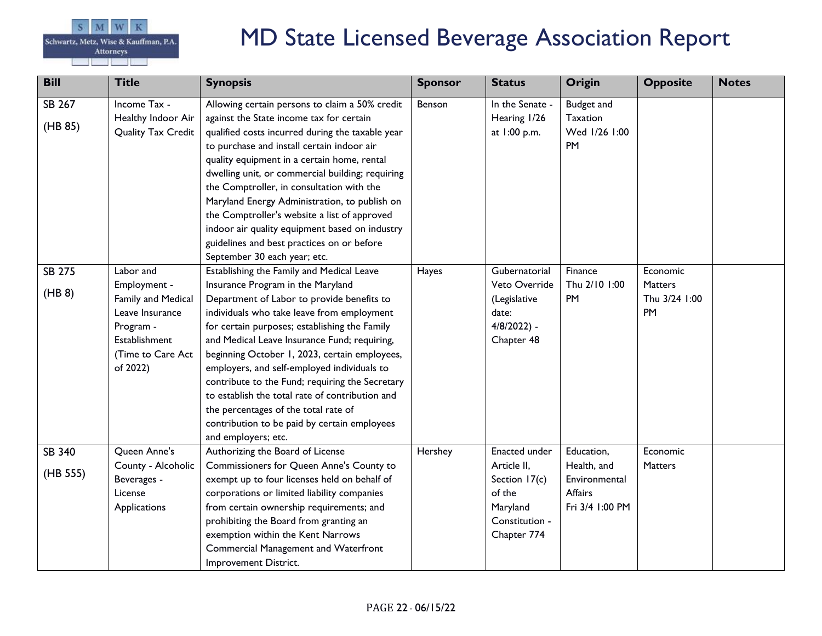

| <b>Bill</b>             | <b>Title</b>                                                                                                                      | <b>Synopsis</b>                                                                                                                                                                                                                                                                                                                                                                                                                                                                                                                                                                                  | <b>Sponsor</b> | <b>Status</b>                                                                                        | <b>Origin</b>                                                            | <b>Opposite</b>                                   | <b>Notes</b> |
|-------------------------|-----------------------------------------------------------------------------------------------------------------------------------|--------------------------------------------------------------------------------------------------------------------------------------------------------------------------------------------------------------------------------------------------------------------------------------------------------------------------------------------------------------------------------------------------------------------------------------------------------------------------------------------------------------------------------------------------------------------------------------------------|----------------|------------------------------------------------------------------------------------------------------|--------------------------------------------------------------------------|---------------------------------------------------|--------------|
| SB 267<br>(HB 85)       | Income Tax -<br>Healthy Indoor Air<br><b>Quality Tax Credit</b>                                                                   | Allowing certain persons to claim a 50% credit<br>against the State income tax for certain<br>qualified costs incurred during the taxable year<br>to purchase and install certain indoor air<br>quality equipment in a certain home, rental<br>dwelling unit, or commercial building; requiring<br>the Comptroller, in consultation with the<br>Maryland Energy Administration, to publish on<br>the Comptroller's website a list of approved<br>indoor air quality equipment based on industry<br>guidelines and best practices on or before<br>September 30 each year; etc.                    | Benson         | In the Senate -<br>Hearing 1/26<br>at 1:00 p.m.                                                      | Budget and<br>Taxation<br>Wed 1/26 1:00<br>PM                            |                                                   |              |
| <b>SB 275</b><br>(HB 8) | Labor and<br>Employment -<br>Family and Medical<br>Leave Insurance<br>Program -<br>Establishment<br>(Time to Care Act<br>of 2022) | Establishing the Family and Medical Leave<br>Insurance Program in the Maryland<br>Department of Labor to provide benefits to<br>individuals who take leave from employment<br>for certain purposes; establishing the Family<br>and Medical Leave Insurance Fund; requiring,<br>beginning October 1, 2023, certain employees,<br>employers, and self-employed individuals to<br>contribute to the Fund; requiring the Secretary<br>to establish the total rate of contribution and<br>the percentages of the total rate of<br>contribution to be paid by certain employees<br>and employers; etc. | Hayes          | Gubernatorial<br>Veto Override<br>(Legislative<br>date:<br>$4/8/2022$ ) -<br>Chapter 48              | Finance<br>Thu 2/10 1:00<br>PM                                           | Economic<br><b>Matters</b><br>Thu 3/24 1:00<br>PM |              |
| SB 340<br>(HB 555)      | Queen Anne's<br>County - Alcoholic<br>Beverages -<br>License<br>Applications                                                      | Authorizing the Board of License<br>Commissioners for Queen Anne's County to<br>exempt up to four licenses held on behalf of<br>corporations or limited liability companies<br>from certain ownership requirements; and<br>prohibiting the Board from granting an<br>exemption within the Kent Narrows<br><b>Commercial Management and Waterfront</b><br>Improvement District.                                                                                                                                                                                                                   | Hershey        | Enacted under<br>Article II,<br>Section 17(c)<br>of the<br>Maryland<br>Constitution -<br>Chapter 774 | Education,<br>Health, and<br>Environmental<br>Affairs<br>Fri 3/4 1:00 PM | Economic<br>Matters                               |              |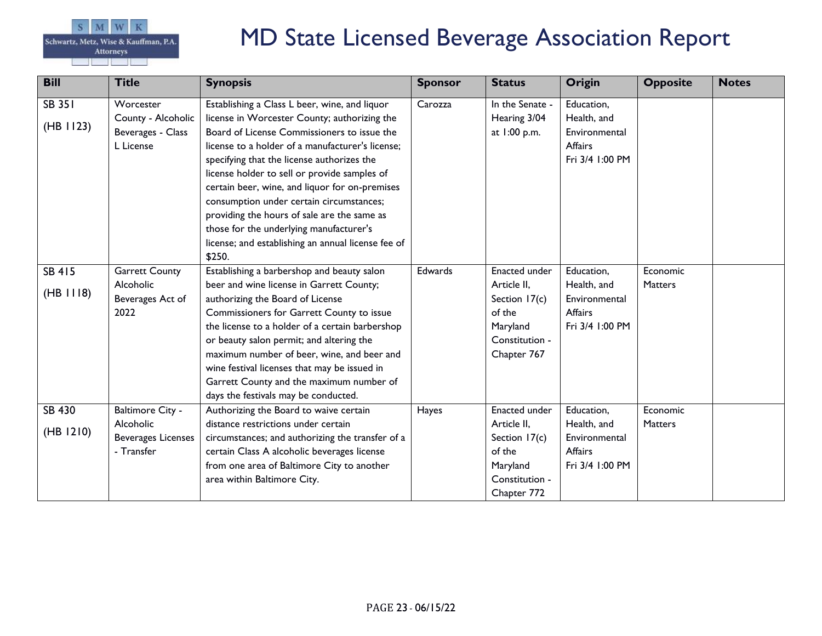

| <b>Bill</b>   | <b>Title</b>              | <b>Synopsis</b>                                    | <b>Sponsor</b> | <b>Status</b>   | <b>Origin</b>   | <b>Opposite</b> | <b>Notes</b> |
|---------------|---------------------------|----------------------------------------------------|----------------|-----------------|-----------------|-----------------|--------------|
| <b>SB 351</b> | Worcester                 | Establishing a Class L beer, wine, and liquor      | Carozza        | In the Senate - | Education,      |                 |              |
|               | County - Alcoholic        | license in Worcester County; authorizing the       |                | Hearing 3/04    | Health, and     |                 |              |
| (HB 1123)     | Beverages - Class         | Board of License Commissioners to issue the        |                | at 1:00 p.m.    | Environmental   |                 |              |
|               | L License                 | license to a holder of a manufacturer's license;   |                |                 | <b>Affairs</b>  |                 |              |
|               |                           | specifying that the license authorizes the         |                |                 | Fri 3/4 1:00 PM |                 |              |
|               |                           | license holder to sell or provide samples of       |                |                 |                 |                 |              |
|               |                           | certain beer, wine, and liquor for on-premises     |                |                 |                 |                 |              |
|               |                           | consumption under certain circumstances;           |                |                 |                 |                 |              |
|               |                           | providing the hours of sale are the same as        |                |                 |                 |                 |              |
|               |                           | those for the underlying manufacturer's            |                |                 |                 |                 |              |
|               |                           | license; and establishing an annual license fee of |                |                 |                 |                 |              |
|               |                           | \$250.                                             |                |                 |                 |                 |              |
| <b>SB 415</b> | <b>Garrett County</b>     | Establishing a barbershop and beauty salon         | <b>Edwards</b> | Enacted under   | Education,      | Economic        |              |
|               | Alcoholic                 | beer and wine license in Garrett County;           |                | Article II,     | Health, and     | <b>Matters</b>  |              |
| (HB 1118)     | Beverages Act of          | authorizing the Board of License                   |                | Section 17(c)   | Environmental   |                 |              |
|               | 2022                      | Commissioners for Garrett County to issue          |                | of the          | Affairs         |                 |              |
|               |                           | the license to a holder of a certain barbershop    |                | Maryland        | Fri 3/4 1:00 PM |                 |              |
|               |                           | or beauty salon permit; and altering the           |                | Constitution -  |                 |                 |              |
|               |                           | maximum number of beer, wine, and beer and         |                | Chapter 767     |                 |                 |              |
|               |                           | wine festival licenses that may be issued in       |                |                 |                 |                 |              |
|               |                           | Garrett County and the maximum number of           |                |                 |                 |                 |              |
|               |                           | days the festivals may be conducted.               |                |                 |                 |                 |              |
| <b>SB 430</b> | <b>Baltimore City -</b>   | Authorizing the Board to waive certain             | Hayes          | Enacted under   | Education,      | Economic        |              |
|               | <b>Alcoholic</b>          | distance restrictions under certain                |                | Article II,     | Health, and     | <b>Matters</b>  |              |
| (HB 1210)     | <b>Beverages Licenses</b> | circumstances; and authorizing the transfer of a   |                | Section 17(c)   | Environmental   |                 |              |
|               | - Transfer                | certain Class A alcoholic beverages license        |                | of the          | Affairs         |                 |              |
|               |                           | from one area of Baltimore City to another         |                | Maryland        | Fri 3/4 1:00 PM |                 |              |
|               |                           | area within Baltimore City.                        |                | Constitution -  |                 |                 |              |
|               |                           |                                                    |                | Chapter 772     |                 |                 |              |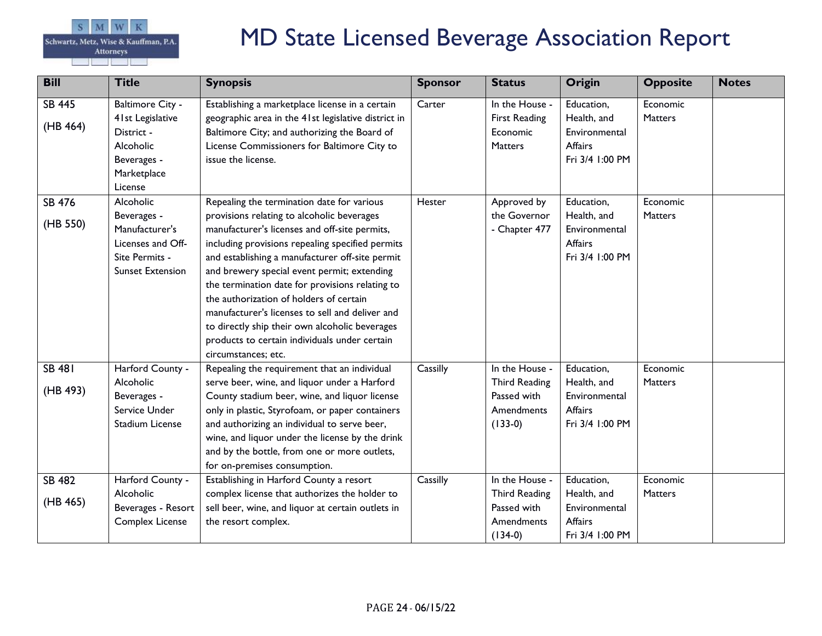

| <b>Bill</b>               | <b>Title</b>                                                                                                    | <b>Synopsis</b>                                                                                                                                                                                                                                                                                                                                                                                                                                                                                                                                                            | <b>Sponsor</b> | <b>Status</b>                                                                    | <b>Origin</b>                                                                   | <b>Opposite</b>            | <b>Notes</b> |
|---------------------------|-----------------------------------------------------------------------------------------------------------------|----------------------------------------------------------------------------------------------------------------------------------------------------------------------------------------------------------------------------------------------------------------------------------------------------------------------------------------------------------------------------------------------------------------------------------------------------------------------------------------------------------------------------------------------------------------------------|----------------|----------------------------------------------------------------------------------|---------------------------------------------------------------------------------|----------------------------|--------------|
| <b>SB 445</b><br>(HB 464) | <b>Baltimore City -</b><br>41st Legislative<br>District -<br>Alcoholic<br>Beverages -<br>Marketplace<br>License | Establishing a marketplace license in a certain<br>geographic area in the 41st legislative district in<br>Baltimore City; and authorizing the Board of<br>License Commissioners for Baltimore City to<br>issue the license.                                                                                                                                                                                                                                                                                                                                                | Carter         | In the House -<br><b>First Reading</b><br>Economic<br><b>Matters</b>             | Education,<br>Health, and<br>Environmental<br><b>Affairs</b><br>Fri 3/4 1:00 PM | Economic<br>Matters        |              |
| <b>SB 476</b><br>(HB 550) | Alcoholic<br>Beverages -<br>Manufacturer's<br>Licenses and Off-<br>Site Permits -<br><b>Sunset Extension</b>    | Repealing the termination date for various<br>provisions relating to alcoholic beverages<br>manufacturer's licenses and off-site permits,<br>including provisions repealing specified permits<br>and establishing a manufacturer off-site permit<br>and brewery special event permit; extending<br>the termination date for provisions relating to<br>the authorization of holders of certain<br>manufacturer's licenses to sell and deliver and<br>to directly ship their own alcoholic beverages<br>products to certain individuals under certain<br>circumstances; etc. | Hester         | Approved by<br>the Governor<br>- Chapter 477                                     | Education,<br>Health, and<br>Environmental<br>Affairs<br>Fri 3/4 1:00 PM        | Economic<br><b>Matters</b> |              |
| <b>SB 481</b><br>(HB 493) | Harford County -<br>Alcoholic<br>Beverages -<br>Service Under<br>Stadium License                                | Repealing the requirement that an individual<br>serve beer, wine, and liquor under a Harford<br>County stadium beer, wine, and liquor license<br>only in plastic, Styrofoam, or paper containers<br>and authorizing an individual to serve beer,<br>wine, and liquor under the license by the drink<br>and by the bottle, from one or more outlets,<br>for on-premises consumption.                                                                                                                                                                                        | Cassilly       | In the House -<br><b>Third Reading</b><br>Passed with<br>Amendments<br>$(133-0)$ | Education,<br>Health, and<br>Environmental<br><b>Affairs</b><br>Fri 3/4 1:00 PM | Economic<br><b>Matters</b> |              |
| <b>SB 482</b><br>(HB 465) | Harford County -<br>Alcoholic<br>Beverages - Resort<br><b>Complex License</b>                                   | Establishing in Harford County a resort<br>complex license that authorizes the holder to<br>sell beer, wine, and liquor at certain outlets in<br>the resort complex.                                                                                                                                                                                                                                                                                                                                                                                                       | Cassilly       | In the House -<br><b>Third Reading</b><br>Passed with<br>Amendments<br>$(134-0)$ | Education,<br>Health, and<br>Environmental<br>Affairs<br>Fri 3/4 1:00 PM        | Economic<br><b>Matters</b> |              |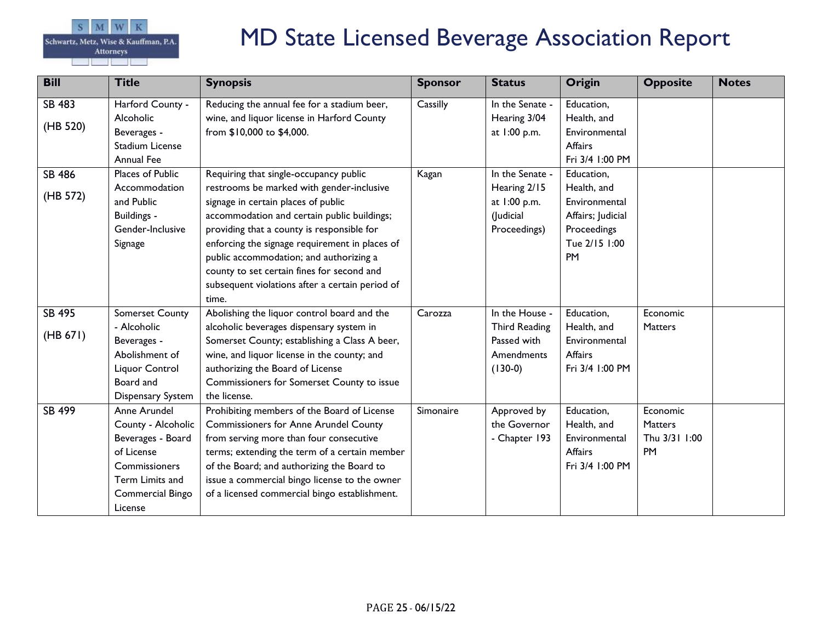

| <b>Bill</b>   | <b>Title</b>             | <b>Synopsis</b>                                 | <b>Sponsor</b> | <b>Status</b>   | <b>Origin</b>     | <b>Opposite</b> | <b>Notes</b> |
|---------------|--------------------------|-------------------------------------------------|----------------|-----------------|-------------------|-----------------|--------------|
| <b>SB 483</b> | Harford County -         | Reducing the annual fee for a stadium beer,     | Cassilly       | In the Senate - | Education,        |                 |              |
| (HB 520)      | Alcoholic                | wine, and liquor license in Harford County      |                | Hearing 3/04    | Health, and       |                 |              |
|               | Beverages -              | from \$10,000 to \$4,000.                       |                | at 1:00 p.m.    | Environmental     |                 |              |
|               | <b>Stadium License</b>   |                                                 |                |                 | Affairs           |                 |              |
|               | <b>Annual Fee</b>        |                                                 |                |                 | Fri 3/4 1:00 PM   |                 |              |
| SB 486        | Places of Public         | Requiring that single-occupancy public          | Kagan          | In the Senate - | Education,        |                 |              |
| (HB 572)      | Accommodation            | restrooms be marked with gender-inclusive       |                | Hearing 2/15    | Health, and       |                 |              |
|               | and Public               | signage in certain places of public             |                | at 1:00 p.m.    | Environmental     |                 |              |
|               | Buildings -              | accommodation and certain public buildings;     |                | (Judicial       | Affairs; Judicial |                 |              |
|               | Gender-Inclusive         | providing that a county is responsible for      |                | Proceedings)    | Proceedings       |                 |              |
|               | Signage                  | enforcing the signage requirement in places of  |                |                 | Tue 2/15 1:00     |                 |              |
|               |                          | public accommodation; and authorizing a         |                |                 | PM                |                 |              |
|               |                          | county to set certain fines for second and      |                |                 |                   |                 |              |
|               |                          | subsequent violations after a certain period of |                |                 |                   |                 |              |
|               |                          | time.                                           |                |                 |                   |                 |              |
| <b>SB 495</b> | <b>Somerset County</b>   | Abolishing the liquor control board and the     | Carozza        | In the House -  | Education,        | Economic        |              |
| (HB 671)      | - Alcoholic              | alcoholic beverages dispensary system in        |                | Third Reading   | Health, and       | <b>Matters</b>  |              |
|               | Beverages -              | Somerset County; establishing a Class A beer,   |                | Passed with     | Environmental     |                 |              |
|               | Abolishment of           | wine, and liquor license in the county; and     |                | Amendments      | Affairs           |                 |              |
|               | Liquor Control           | authorizing the Board of License                |                | $(130-0)$       | Fri 3/4 1:00 PM   |                 |              |
|               | Board and                | Commissioners for Somerset County to issue      |                |                 |                   |                 |              |
|               | <b>Dispensary System</b> | the license.                                    |                |                 |                   |                 |              |
| <b>SB 499</b> | Anne Arundel             | Prohibiting members of the Board of License     | Simonaire      | Approved by     | Education,        | Economic        |              |
|               | County - Alcoholic       | <b>Commissioners for Anne Arundel County</b>    |                | the Governor    | Health, and       | <b>Matters</b>  |              |
|               | Beverages - Board        | from serving more than four consecutive         |                | - Chapter 193   | Environmental     | Thu 3/31 1:00   |              |
|               | of License               | terms; extending the term of a certain member   |                |                 | Affairs           | <b>PM</b>       |              |
|               | Commissioners            | of the Board; and authorizing the Board to      |                |                 | Fri 3/4 1:00 PM   |                 |              |
|               | Term Limits and          | issue a commercial bingo license to the owner   |                |                 |                   |                 |              |
|               | Commercial Bingo         | of a licensed commercial bingo establishment.   |                |                 |                   |                 |              |
|               | License                  |                                                 |                |                 |                   |                 |              |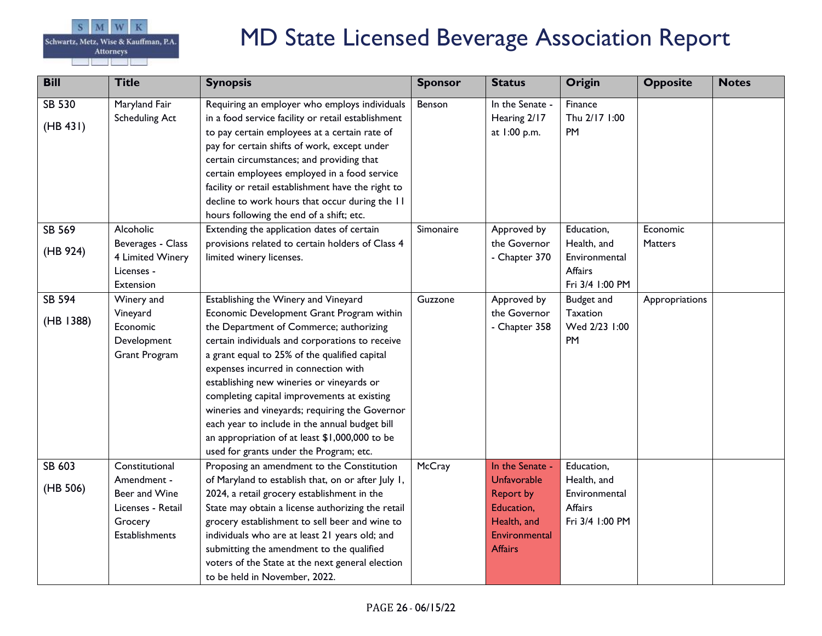

| <b>Bill</b>         | <b>Title</b>                                                                                            | <b>Synopsis</b>                                                                                                                                                                                                                                                                                                                                                                                                                                                                                                                                                       | <b>Sponsor</b> | <b>Status</b>                                                                                                             | <b>Origin</b>                                                            | <b>Opposite</b>            | <b>Notes</b> |
|---------------------|---------------------------------------------------------------------------------------------------------|-----------------------------------------------------------------------------------------------------------------------------------------------------------------------------------------------------------------------------------------------------------------------------------------------------------------------------------------------------------------------------------------------------------------------------------------------------------------------------------------------------------------------------------------------------------------------|----------------|---------------------------------------------------------------------------------------------------------------------------|--------------------------------------------------------------------------|----------------------------|--------------|
| SB 530<br>(HB 431)  | Maryland Fair<br><b>Scheduling Act</b>                                                                  | Requiring an employer who employs individuals<br>in a food service facility or retail establishment<br>to pay certain employees at a certain rate of<br>pay for certain shifts of work, except under<br>certain circumstances; and providing that<br>certain employees employed in a food service<br>facility or retail establishment have the right to<br>decline to work hours that occur during the 11<br>hours following the end of a shift; etc.                                                                                                                 | Benson         | In the Senate -<br>Hearing 2/17<br>at 1:00 p.m.                                                                           | Finance<br>Thu 2/17 1:00<br><b>PM</b>                                    |                            |              |
| SB 569<br>(HB 924)  | Alcoholic<br>Beverages - Class<br>4 Limited Winery<br>Licenses -<br>Extension                           | Extending the application dates of certain<br>provisions related to certain holders of Class 4<br>limited winery licenses.                                                                                                                                                                                                                                                                                                                                                                                                                                            | Simonaire      | Approved by<br>the Governor<br>- Chapter 370                                                                              | Education,<br>Health, and<br>Environmental<br>Affairs<br>Fri 3/4 1:00 PM | Economic<br><b>Matters</b> |              |
| SB 594<br>(HB 1388) | Winery and<br>Vineyard<br>Economic<br>Development<br><b>Grant Program</b>                               | Establishing the Winery and Vineyard<br>Economic Development Grant Program within<br>the Department of Commerce; authorizing<br>certain individuals and corporations to receive<br>a grant equal to 25% of the qualified capital<br>expenses incurred in connection with<br>establishing new wineries or vineyards or<br>completing capital improvements at existing<br>wineries and vineyards; requiring the Governor<br>each year to include in the annual budget bill<br>an appropriation of at least \$1,000,000 to be<br>used for grants under the Program; etc. | Guzzone        | Approved by<br>the Governor<br>- Chapter 358                                                                              | Budget and<br><b>Taxation</b><br>Wed 2/23 1:00<br>PM                     | Appropriations             |              |
| SB 603<br>(HB 506)  | Constitutional<br>Amendment -<br>Beer and Wine<br>Licenses - Retail<br>Grocery<br><b>Establishments</b> | Proposing an amendment to the Constitution<br>of Maryland to establish that, on or after July 1,<br>2024, a retail grocery establishment in the<br>State may obtain a license authorizing the retail<br>grocery establishment to sell beer and wine to<br>individuals who are at least 21 years old; and<br>submitting the amendment to the qualified<br>voters of the State at the next general election<br>to be held in November, 2022.                                                                                                                            | McCray         | In the Senate -<br><b>Unfavorable</b><br><b>Report by</b><br>Education,<br>Health, and<br>Environmental<br><b>Affairs</b> | Education,<br>Health, and<br>Environmental<br>Affairs<br>Fri 3/4 1:00 PM |                            |              |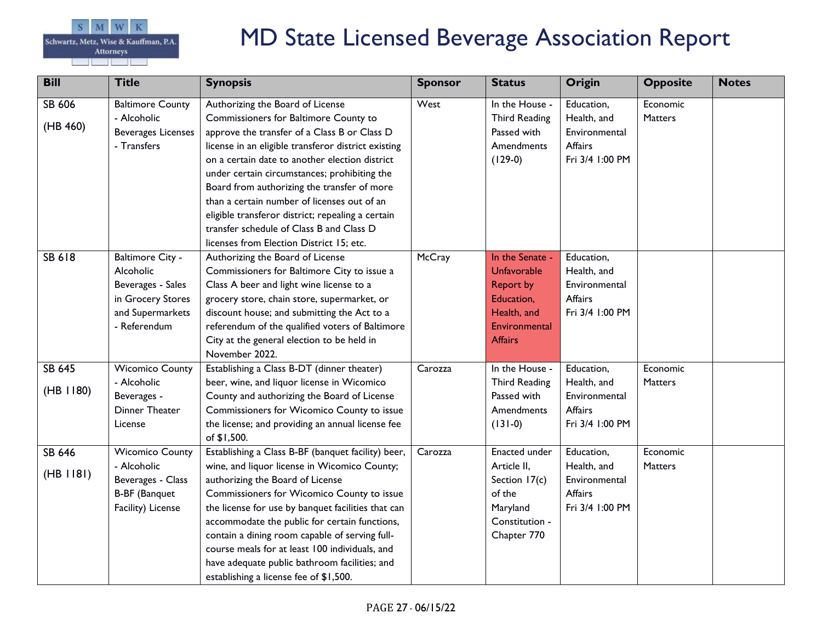

| <b>Bill</b>         | <b>Title</b>                                                                                                | <b>Synopsis</b>                                                                                                                                                                                                                                                                                                                                                                                                                                                                                                               | <b>Sponsor</b> | <b>Status</b>                                                                                                             | <b>Origin</b>                                                                   | <b>Opposite</b>            | <b>Notes</b> |
|---------------------|-------------------------------------------------------------------------------------------------------------|-------------------------------------------------------------------------------------------------------------------------------------------------------------------------------------------------------------------------------------------------------------------------------------------------------------------------------------------------------------------------------------------------------------------------------------------------------------------------------------------------------------------------------|----------------|---------------------------------------------------------------------------------------------------------------------------|---------------------------------------------------------------------------------|----------------------------|--------------|
| SB 606<br>(HB 460)  | <b>Baltimore County</b><br>- Alcoholic<br><b>Beverages Licenses</b><br>- Transfers                          | Authorizing the Board of License<br>Commissioners for Baltimore County to<br>approve the transfer of a Class B or Class D<br>license in an eligible transferor district existing<br>on a certain date to another election district<br>under certain circumstances; prohibiting the<br>Board from authorizing the transfer of more<br>than a certain number of licenses out of an<br>eligible transferor district; repealing a certain<br>transfer schedule of Class B and Class D<br>licenses from Election District 15; etc. | West           | In the House -<br><b>Third Reading</b><br>Passed with<br>Amendments<br>$(129-0)$                                          | Education,<br>Health, and<br>Environmental<br><b>Affairs</b><br>Fri 3/4 1:00 PM | Economic<br><b>Matters</b> |              |
| SB 618              | Baltimore City -<br>Alcoholic<br>Beverages - Sales<br>in Grocery Stores<br>and Supermarkets<br>- Referendum | Authorizing the Board of License<br>Commissioners for Baltimore City to issue a<br>Class A beer and light wine license to a<br>grocery store, chain store, supermarket, or<br>discount house; and submitting the Act to a<br>referendum of the qualified voters of Baltimore<br>City at the general election to be held in<br>November 2022.                                                                                                                                                                                  | McCray         | In the Senate -<br><b>Unfavorable</b><br><b>Report by</b><br>Education,<br>Health, and<br>Environmental<br><b>Affairs</b> | Education,<br>Health, and<br>Environmental<br>Affairs<br>Fri 3/4 1:00 PM        |                            |              |
| SB 645<br>(HB 1180) | <b>Wicomico County</b><br>- Alcoholic<br>Beverages -<br>Dinner Theater<br>License                           | Establishing a Class B-DT (dinner theater)<br>beer, wine, and liquor license in Wicomico<br>County and authorizing the Board of License<br>Commissioners for Wicomico County to issue<br>the license; and providing an annual license fee<br>of \$1,500.                                                                                                                                                                                                                                                                      | Carozza        | In the House -<br><b>Third Reading</b><br>Passed with<br>Amendments<br>$(131-0)$                                          | Education,<br>Health, and<br>Environmental<br><b>Affairs</b><br>Fri 3/4 1:00 PM | Economic<br>Matters        |              |
| SB 646<br>(HB1181)  | <b>Wicomico County</b><br>- Alcoholic<br>Beverages - Class<br><b>B-BF</b> (Banquet<br>Facility) License     | Establishing a Class B-BF (banquet facility) beer,<br>wine, and liquor license in Wicomico County;<br>authorizing the Board of License<br>Commissioners for Wicomico County to issue<br>the license for use by banquet facilities that can<br>accommodate the public for certain functions,<br>contain a dining room capable of serving full-<br>course meals for at least 100 individuals, and<br>have adequate public bathroom facilities; and<br>establishing a license fee of \$1,500.                                    | Carozza        | Enacted under<br>Article II,<br>Section 17(c)<br>of the<br>Maryland<br>Constitution -<br>Chapter 770                      | Education,<br>Health, and<br>Environmental<br><b>Affairs</b><br>Fri 3/4 1:00 PM | Economic<br>Matters        |              |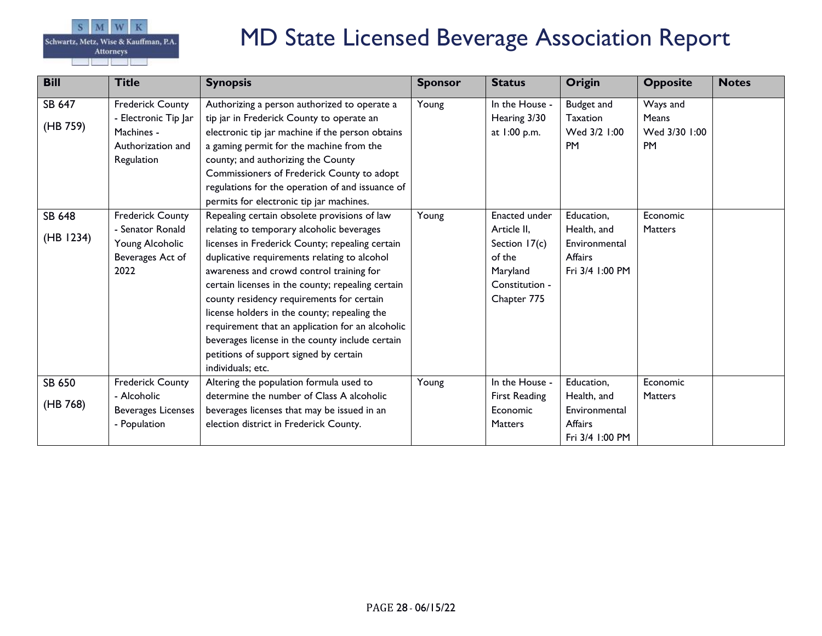

| <b>Bill</b>         | <b>Title</b>                                                                                     | <b>Synopsis</b>                                                                                                                                                                                                                                                                                                                                                                                                                                                                                                                                                                                              | <b>Sponsor</b> | <b>Status</b>                                                                                               | <b>Origin</b>                                                            | <b>Opposite</b>                                 | <b>Notes</b> |
|---------------------|--------------------------------------------------------------------------------------------------|--------------------------------------------------------------------------------------------------------------------------------------------------------------------------------------------------------------------------------------------------------------------------------------------------------------------------------------------------------------------------------------------------------------------------------------------------------------------------------------------------------------------------------------------------------------------------------------------------------------|----------------|-------------------------------------------------------------------------------------------------------------|--------------------------------------------------------------------------|-------------------------------------------------|--------------|
| SB 647<br>(HB 759)  | <b>Frederick County</b><br>- Electronic Tip Jar<br>Machines -<br>Authorization and<br>Regulation | Authorizing a person authorized to operate a<br>tip jar in Frederick County to operate an<br>electronic tip jar machine if the person obtains<br>a gaming permit for the machine from the<br>county; and authorizing the County<br>Commissioners of Frederick County to adopt<br>regulations for the operation of and issuance of                                                                                                                                                                                                                                                                            | Young          | In the House -<br>Hearing 3/30<br>at 1:00 p.m.                                                              | Budget and<br>Taxation<br>Wed 3/2 1:00<br><b>PM</b>                      | Ways and<br>Means<br>Wed 3/30 1:00<br><b>PM</b> |              |
| SB 648<br>(HB 1234) | <b>Frederick County</b><br>- Senator Ronald<br>Young Alcoholic<br>Beverages Act of<br>2022       | permits for electronic tip jar machines.<br>Repealing certain obsolete provisions of law<br>relating to temporary alcoholic beverages<br>licenses in Frederick County; repealing certain<br>duplicative requirements relating to alcohol<br>awareness and crowd control training for<br>certain licenses in the county; repealing certain<br>county residency requirements for certain<br>license holders in the county; repealing the<br>requirement that an application for an alcoholic<br>beverages license in the county include certain<br>petitions of support signed by certain<br>individuals; etc. | Young          | <b>Enacted under</b><br>Article II,<br>Section 17(c)<br>of the<br>Maryland<br>Constitution -<br>Chapter 775 | Education,<br>Health, and<br>Environmental<br>Affairs<br>Fri 3/4 1:00 PM | Economic<br><b>Matters</b>                      |              |
| SB 650<br>(HB 768)  | <b>Frederick County</b><br>- Alcoholic<br><b>Beverages Licenses</b><br>- Population              | Altering the population formula used to<br>determine the number of Class A alcoholic<br>beverages licenses that may be issued in an<br>election district in Frederick County.                                                                                                                                                                                                                                                                                                                                                                                                                                | Young          | In the House -<br><b>First Reading</b><br>Economic<br>Matters                                               | Education,<br>Health, and<br>Environmental<br>Affairs<br>Fri 3/4 1:00 PM | Economic<br><b>Matters</b>                      |              |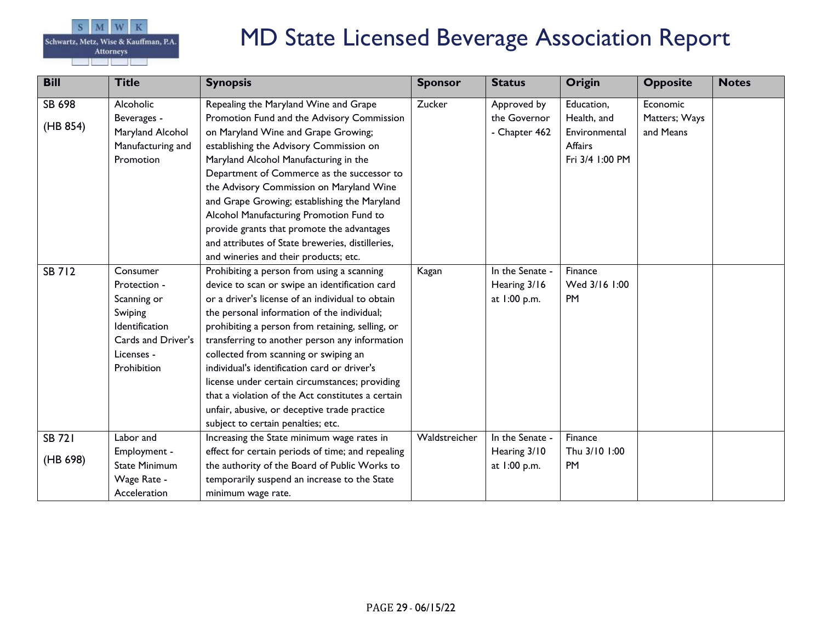

| <b>Bill</b>   | <b>Title</b>         | <b>Synopsis</b>                                   | <b>Sponsor</b> | <b>Status</b>   | <b>Origin</b>   | <b>Opposite</b> | <b>Notes</b> |
|---------------|----------------------|---------------------------------------------------|----------------|-----------------|-----------------|-----------------|--------------|
| SB 698        | Alcoholic            | Repealing the Maryland Wine and Grape             | Zucker         | Approved by     | Education,      | Economic        |              |
|               | Beverages -          | Promotion Fund and the Advisory Commission        |                | the Governor    | Health, and     | Matters; Ways   |              |
| (HB 854)      | Maryland Alcohol     | on Maryland Wine and Grape Growing;               |                | - Chapter 462   | Environmental   | and Means       |              |
|               | Manufacturing and    | establishing the Advisory Commission on           |                |                 | Affairs         |                 |              |
|               | Promotion            | Maryland Alcohol Manufacturing in the             |                |                 | Fri 3/4 1:00 PM |                 |              |
|               |                      | Department of Commerce as the successor to        |                |                 |                 |                 |              |
|               |                      | the Advisory Commission on Maryland Wine          |                |                 |                 |                 |              |
|               |                      | and Grape Growing; establishing the Maryland      |                |                 |                 |                 |              |
|               |                      | Alcohol Manufacturing Promotion Fund to           |                |                 |                 |                 |              |
|               |                      | provide grants that promote the advantages        |                |                 |                 |                 |              |
|               |                      | and attributes of State breweries, distilleries,  |                |                 |                 |                 |              |
|               |                      | and wineries and their products; etc.             |                |                 |                 |                 |              |
| <b>SB 712</b> | Consumer             | Prohibiting a person from using a scanning        | Kagan          | In the Senate - | Finance         |                 |              |
|               | Protection -         | device to scan or swipe an identification card    |                | Hearing 3/16    | Wed 3/16 1:00   |                 |              |
|               | Scanning or          | or a driver's license of an individual to obtain  |                | at 1:00 p.m.    | <b>PM</b>       |                 |              |
|               | Swiping              | the personal information of the individual;       |                |                 |                 |                 |              |
|               | Identification       | prohibiting a person from retaining, selling, or  |                |                 |                 |                 |              |
|               | Cards and Driver's   | transferring to another person any information    |                |                 |                 |                 |              |
|               | Licenses -           | collected from scanning or swiping an             |                |                 |                 |                 |              |
|               | Prohibition          | individual's identification card or driver's      |                |                 |                 |                 |              |
|               |                      | license under certain circumstances; providing    |                |                 |                 |                 |              |
|               |                      | that a violation of the Act constitutes a certain |                |                 |                 |                 |              |
|               |                      | unfair, abusive, or deceptive trade practice      |                |                 |                 |                 |              |
|               |                      | subject to certain penalties; etc.                |                |                 |                 |                 |              |
| <b>SB 721</b> | Labor and            | Increasing the State minimum wage rates in        | Waldstreicher  | In the Senate - | Finance         |                 |              |
| (HB 698)      | Employment -         | effect for certain periods of time; and repealing |                | Hearing 3/10    | Thu 3/10 1:00   |                 |              |
|               | <b>State Minimum</b> | the authority of the Board of Public Works to     |                | at 1:00 p.m.    | <b>PM</b>       |                 |              |
|               | Wage Rate -          | temporarily suspend an increase to the State      |                |                 |                 |                 |              |
|               | Acceleration         | minimum wage rate.                                |                |                 |                 |                 |              |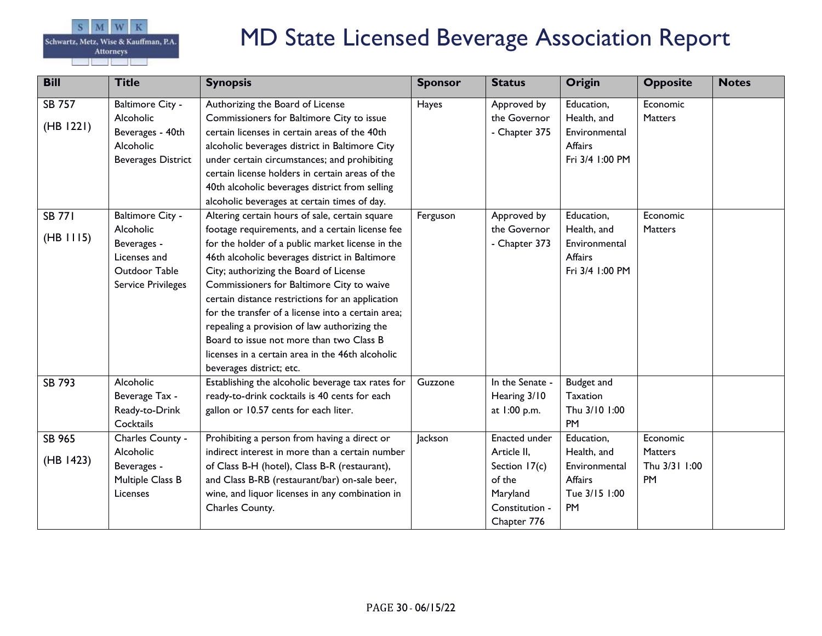

| <b>Bill</b>                | <b>Title</b>                                                                                                      | <b>Synopsis</b>                                                                                                                                                                                                                                                                                                                                                                                                                                                                                                                                                                      | <b>Sponsor</b> | <b>Status</b>                                                                                        | Origin                                                                                     | <b>Opposite</b>                                          | <b>Notes</b> |
|----------------------------|-------------------------------------------------------------------------------------------------------------------|--------------------------------------------------------------------------------------------------------------------------------------------------------------------------------------------------------------------------------------------------------------------------------------------------------------------------------------------------------------------------------------------------------------------------------------------------------------------------------------------------------------------------------------------------------------------------------------|----------------|------------------------------------------------------------------------------------------------------|--------------------------------------------------------------------------------------------|----------------------------------------------------------|--------------|
| <b>SB 757</b><br>(HB 1221) | <b>Baltimore City -</b><br>Alcoholic<br>Beverages - 40th<br>Alcoholic<br><b>Beverages District</b>                | Authorizing the Board of License<br>Commissioners for Baltimore City to issue<br>certain licenses in certain areas of the 40th<br>alcoholic beverages district in Baltimore City<br>under certain circumstances; and prohibiting<br>certain license holders in certain areas of the<br>40th alcoholic beverages district from selling<br>alcoholic beverages at certain times of day.                                                                                                                                                                                                | Hayes          | Approved by<br>the Governor<br>- Chapter 375                                                         | Education,<br>Health, and<br>Environmental<br>Affairs<br>Fri 3/4 1:00 PM                   | Economic<br>Matters                                      |              |
| <b>SB 771</b><br>(HB 1115) | <b>Baltimore City -</b><br>Alcoholic<br>Beverages -<br>Licenses and<br>Outdoor Table<br><b>Service Privileges</b> | Altering certain hours of sale, certain square<br>footage requirements, and a certain license fee<br>for the holder of a public market license in the<br>46th alcoholic beverages district in Baltimore<br>City; authorizing the Board of License<br>Commissioners for Baltimore City to waive<br>certain distance restrictions for an application<br>for the transfer of a license into a certain area;<br>repealing a provision of law authorizing the<br>Board to issue not more than two Class B<br>licenses in a certain area in the 46th alcoholic<br>beverages district; etc. | Ferguson       | Approved by<br>the Governor<br>- Chapter 373                                                         | Education,<br>Health, and<br>Environmental<br>Affairs<br>Fri 3/4 1:00 PM                   | Economic<br><b>Matters</b>                               |              |
| SB 793                     | Alcoholic<br>Beverage Tax -<br>Ready-to-Drink<br>Cocktails                                                        | Establishing the alcoholic beverage tax rates for<br>ready-to-drink cocktails is 40 cents for each<br>gallon or 10.57 cents for each liter.                                                                                                                                                                                                                                                                                                                                                                                                                                          | Guzzone        | In the Senate -<br>Hearing 3/10<br>at 1:00 p.m.                                                      | Budget and<br>Taxation<br>Thu 3/10 1:00<br><b>PM</b>                                       |                                                          |              |
| SB 965<br>(HB 1423)        | Charles County -<br>Alcoholic<br>Beverages -<br>Multiple Class B<br>Licenses                                      | Prohibiting a person from having a direct or<br>indirect interest in more than a certain number<br>of Class B-H (hotel), Class B-R (restaurant),<br>and Class B-RB (restaurant/bar) on-sale beer,<br>wine, and liquor licenses in any combination in<br>Charles County.                                                                                                                                                                                                                                                                                                              | Jackson        | Enacted under<br>Article II,<br>Section 17(c)<br>of the<br>Maryland<br>Constitution -<br>Chapter 776 | Education,<br>Health, and<br>Environmental<br><b>Affairs</b><br>Tue 3/15 1:00<br><b>PM</b> | Economic<br><b>Matters</b><br>Thu 3/31 1:00<br><b>PM</b> |              |